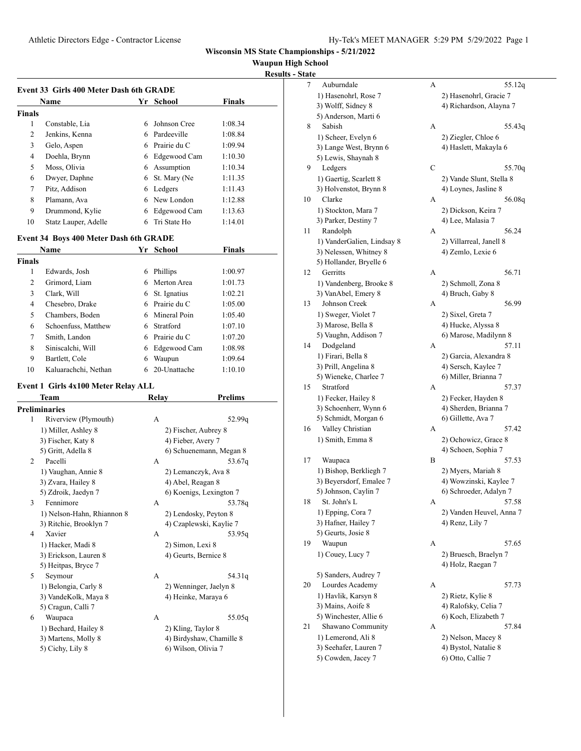**Waupun High School**

**Results - State**

|               | <b>Name</b><br>School<br>Yr |    |              |         |  |
|---------------|-----------------------------|----|--------------|---------|--|
| <b>Finals</b> |                             |    |              |         |  |
| 1             | Constable, Lia              | 6  | Johnson Cree | 1:08.34 |  |
| 2             | Jenkins, Kenna              | 6. | Pardeeville  | 1:08.84 |  |
| 3             | Gelo, Aspen                 | 6  | Prairie du C | 1:09.94 |  |
| 4             | Doehla, Brynn               | 6  | Edgewood Cam | 1:10.30 |  |
| 5             | Moss, Olivia                | 6  | Assumption   | 1:10.34 |  |
| 6             | Dwyer, Daphne               | 6. | St. Mary (Ne | 1:11.35 |  |
| 7             | Pitz, Addison               | 6  | Ledgers      | 1:11.43 |  |
| 8             | Plamann, Ava                | 6. | New London   | 1:12.88 |  |
| 9             | Drummond, Kylie             | 6  | Edgewood Cam | 1:13.63 |  |
| 10            | Statz Lauper, Adelle        | 6  | Tri State Ho | 1:14.01 |  |

#### **Event 34 Boys 400 Meter Dash 6th GRADE**

|               | Name                 | Yr | <b>School</b> | <b>Finals</b> |  |
|---------------|----------------------|----|---------------|---------------|--|
| <b>Finals</b> |                      |    |               |               |  |
| 1             | Edwards, Josh        | 6  | Phillips      | 1:00.97       |  |
| 2             | Grimord, Liam        |    | Merton Area   | 1:01.73       |  |
| 3             | Clark, Will          | 6  | St. Ignatius  | 1:02.21       |  |
| 4             | Chesebro, Drake      | 6. | Prairie du C  | 1:05.00       |  |
| 5             | Chambers, Boden      |    | Mineral Poin  | 1:05.40       |  |
| 6             | Schoenfuss, Matthew  | 6  | Stratford     | 1:07.10       |  |
| 7             | Smith, Landon        | 6  | Prairie du C  | 1:07.20       |  |
| 8             | Siniscalchi, Will    | 6  | Edgewood Cam  | 1:08.98       |  |
| 9             | Bartlett, Cole       | 6  | Waupun        | 1:09.64       |  |
| 10            | Kaluarachchi, Nethan | 6  | 20-Unattache  | 1:10.10       |  |

# **Event 1 Girls 4x100 Meter Relay ALL<br>Team Relay**

 $\overline{a}$ 

|   | Team                       | Relay | Prelims                  |
|---|----------------------------|-------|--------------------------|
|   | Preliminaries              |       |                          |
| 1 | Riverview (Plymouth)       | A     | 52.99 <sub>q</sub>       |
|   | 1) Miller, Ashley 8        |       | 2) Fischer, Aubrey 8     |
|   | 3) Fischer, Katy 8         |       | 4) Fieber, Avery 7       |
|   | 5) Gritt, Adella 8         |       | 6) Schuenemann, Megan 8  |
| 2 | Pacelli                    | A     | 53.67g                   |
|   | 1) Vaughan, Annie 8        |       | 2) Lemanczyk, Ava 8      |
|   | 3) Zvara, Hailey 8         |       | 4) Abel, Reagan 8        |
|   | 5) Zdroik, Jaedyn 7        |       | 6) Koenigs, Lexington 7  |
| 3 | Fennimore                  | A     | 53.78g                   |
|   | 1) Nelson-Hahn, Rhiannon 8 |       | 2) Lendosky, Peyton 8    |
|   | 3) Ritchie, Brooklyn 7     |       | 4) Czaplewski, Kaylie 7  |
| 4 | Xavier                     | A     | 53.95q                   |
|   | 1) Hacker, Madi 8          |       | 2) Simon, Lexi 8         |
|   | 3) Erickson, Lauren 8      |       | 4) Geurts, Bernice 8     |
|   | 5) Heitpas, Bryce 7        |       |                          |
| 5 | Seymour                    | A     | 54.31g                   |
|   | 1) Belongia, Carly 8       |       | 2) Wenninger, Jaelyn 8   |
|   | 3) VandeKolk, Maya 8       |       | 4) Heinke, Maraya 6      |
|   | 5) Cragun, Calli 7         |       |                          |
| 6 | Waupaca                    | A     | 55.05q                   |
|   | 1) Bechard, Hailey 8       |       | 2) Kling, Taylor 8       |
|   | 3) Martens, Molly 8        |       | 4) Birdyshaw, Chamille 8 |
|   | 5) Cichy, Lily 8           |       | 6) Wilson, Olivia 7      |
|   |                            |       |                          |

| <u>rate</u> |                            |   |                          |
|-------------|----------------------------|---|--------------------------|
| 7           | Auburndale                 | А | 55.12q                   |
|             | 1) Hasenohrl, Rose 7       |   | 2) Hasenohrl, Gracie 7   |
|             | 3) Wolff, Sidney 8         |   | 4) Richardson, Alayna 7  |
|             | 5) Anderson, Marti 6       |   |                          |
| 8           | Sabish                     | А | 55.43q                   |
|             | 1) Scheer, Evelyn 6        |   | 2) Ziegler, Chloe 6      |
|             | 3) Lange West, Brynn 6     |   | 4) Haslett, Makayla 6    |
|             | 5) Lewis, Shaynah 8        |   |                          |
| 9           | Ledgers                    | С | 55.70q                   |
|             | 1) Gaertig, Scarlett 8     |   | 2) Vande Slunt, Stella 8 |
|             | 3) Holvenstot, Brynn 8     |   | 4) Loynes, Jasline 8     |
| 10          | Clarke                     | А | 56.08q                   |
|             |                            |   |                          |
|             | 1) Stockton, Mara 7        |   | 2) Dickson, Keira 7      |
|             | 3) Parker, Destiny 7       |   | 4) Lee, Malasia 7        |
| 11          | Randolph                   | А | 56.24                    |
|             | 1) VanderGalien, Lindsay 8 |   | 2) Villarreal, Janell 8  |
|             | 3) Nelessen, Whitney 8     |   | 4) Zemlo, Lexie 6        |
|             | 5) Hollander, Bryelle 6    |   |                          |
| 12          | Gerritts                   | A | 56.71                    |
|             | 1) Vandenberg, Brooke 8    |   | 2) Schmoll, Zona 8       |
|             | 3) VanAbel, Emery 8        |   | 4) Bruch, Gaby 8         |
| 13          | Johnson Creek              | А | 56.99                    |
|             | 1) Sweger, Violet 7        |   | 2) Sixel, Greta 7        |
|             | 3) Marose, Bella 8         |   | 4) Hucke, Alyssa 8       |
|             | 5) Vaughn, Addison 7       |   | 6) Marose, Madilynn 8    |
| 14          | Dodgeland                  | А | 57.11                    |
|             | 1) Firari, Bella 8         |   | 2) Garcia, Alexandra 8   |
|             | 3) Prill, Angelina 8       |   | 4) Sersch, Kaylee 7      |
|             | 5) Wieneke, Charlee 7      |   | 6) Miller, Brianna 7     |
| 15          | Stratford                  | А | 57.37                    |
|             | 1) Fecker, Hailey 8        |   | 2) Fecker, Hayden 8      |
|             | 3) Schoenherr, Wynn 6      |   | 4) Sherden, Brianna 7    |
|             | 5) Schmidt, Morgan 6       |   | 6) Gillette, Ava 7       |
| 16          | Valley Christian           | А | 57.42                    |
|             | 1) Smith, Emma 8           |   | 2) Ochowicz, Grace 8     |
|             |                            |   | 4) Schoen, Sophia 7      |
| 17          | Waupaca                    | B | 57.53                    |
|             | 1) Bishop, Berkliegh 7     |   | 2) Myers, Mariah 8       |
|             | 3) Beyersdorf, Emalee 7    |   | 4) Wowzinski, Kaylee 7   |
|             | 5) Johnson, Caylin 7       |   | 6) Schroeder, Adalyn 7   |
| 18          | St. John's L               | А | 57.58                    |
|             | 1) Epping, Cora 7          |   | 2) Vanden Heuvel, Anna 7 |
|             | 3) Hafner, Hailey 7        |   | 4) Renz, Lily 7          |
|             | 5) Geurts, Josie 8         |   |                          |
|             |                            | А |                          |
| 19          | Waupun                     |   | 57.65                    |
|             | 1) Couey, Lucy 7           |   | 2) Bruesch, Braelyn 7    |
|             |                            |   | 4) Holz, Raegan 7        |
|             | 5) Sanders, Audrey 7       |   |                          |
| 20          | Lourdes Academy            | А | 57.73                    |
|             | 1) Havlik, Karsyn 8        |   | 2) Rietz, Kylie 8        |
|             | 3) Mains, Aoife 8          |   | 4) Ralofsky, Celia 7     |
|             | 5) Winchester, Allie 6     |   | 6) Koch, Elizabeth 7     |
| 21          | Shawano Community          | А | 57.84                    |
|             | 1) Lemerond, Ali 8         |   | 2) Nelson, Macey 8       |
|             | 3) Seehafer, Lauren 7      |   | 4) Bystol, Natalie 8     |
|             | 5) Cowden, Jacey 7         |   | 6) Otto, Callie 7        |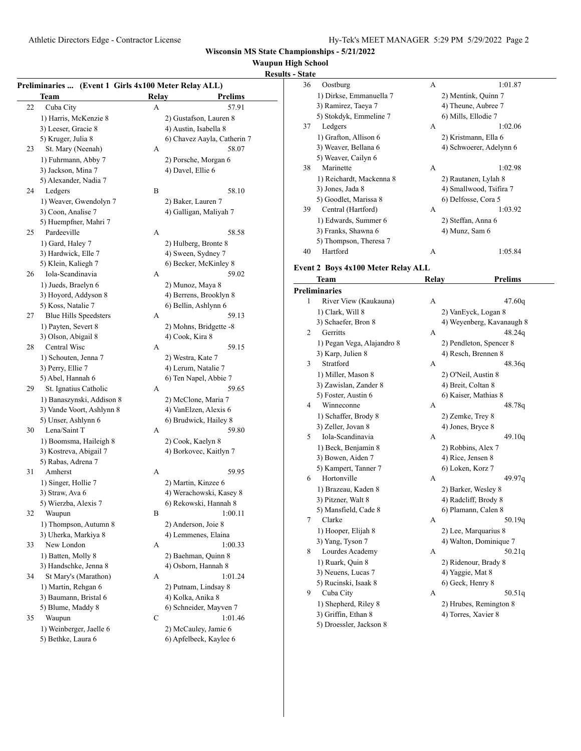#### **Waupun High School**

#### **Results -Preliminaries ... (Event 1 Girls 4x100 Meter Relay ALL) Team Relay Prelims** 22 Cuba City A 57.91 1) Harris, McKenzie 8 2) Gustafson, Lauren 8 3) Leeser, Gracie 8 4) Austin, Isabella 8 5) Kruger, Julia 8 6) Chavez Aayla, Catherin 7 23 St. Mary (Neenah) A 58.07 1) Fuhrmann, Abby 7 2) Porsche, Morgan 6 3) Jackson, Mina 7 4) Davel, Ellie 6 5) Alexander, Nadia 7 24 Ledgers B 58.10 1) Weaver, Gwendolyn 7 2) Baker, Lauren 7 3) Coon, Analise 7 4) Galligan, Maliyah 7 5) Huempfner, Mahri 7 25 Pardeeville A 58.58 1) Gard, Haley 7 2) Hulberg, Bronte 8 3) Hardwick, Elle 7 4) Sween, Sydney 7 5) Klein, Kaliegh 7 6) Becker, McKinley 8 26 Iola-Scandinavia A 59.02 1) Jueds, Braelyn 6 2) Munoz, Maya 8 3) Hoyord, Addyson 8 4) Berrens, Brooklyn 8 5) Koss, Natalie 7 6) Bellin, Ashlynn 6 27 Blue Hills Speedsters A 59.13 1) Payten, Severt 8 2) Mohns, Bridgette -8 3) Olson, Abigail 8 4) Cook, Kira 8 28 Central Wisc A 59.15 1) Schouten, Jenna 7 2) Westra, Kate 7 3) Perry, Ellie 7 4) Lerum, Natalie 7 5) Abel, Hannah 6 6 6) Ten Napel, Abbie 7 29 St. Ignatius Catholic A 59.65 1) Banaszynski, Addison 8 2) McClone, Maria 7 3) Vande Voort, Ashlynn 8 4) VanElzen, Alexis 6 5) Unser, Ashlynn 6 6) Brudwick, Hailey 8 30 Lena/Saint T A 59.80 1) Boomsma, Haileigh 8 2) Cook, Kaelyn 8

5) Rabas, Adrena 7 31 Amherst A 59.95 1) Singer, Hollie 7 2) Martin, Kinzee 6 3) Straw, Ava 6 4) Werachowski, Kasey 8 5) Wierzba, Alexis 7 6) Rekowski, Hannah 8 32 Waupun B 1:00.11 1) Thompson, Autumn 8 2) Anderson, Joie 8 3) Uherka, Markiya 8 4) Lemmenes, Elaina 33 New London A 1:00.33 1) Batten, Molly 8 2) Baehman, Quinn 8 3) Handschke, Jenna 8 4) Osborn, Hannah 8 34 St Mary's (Marathon) A 1:01.24 1) Martin, Rehgan 6 2) Putnam, Lindsay 8 3) Baumann, Bristal 6 4) Kolka, Anika 8 5) Blume, Maddy 8 6) Schneider, Mayven 7

5) Bethke, Laura 6 6) Apfelbeck, Kaylee 6

3) Kostreva, Abigail 7 4) Borkovec, Kaitlyn 7 35 Waupun C 1:01.46 1) Weinberger, Jaelle 6 2) McCauley, Jamie 6

| <u>- State</u> |                                    |       |                           |
|----------------|------------------------------------|-------|---------------------------|
| 36             | Oostburg                           | А     | 1:01.87                   |
|                | 1) Dirkse, Emmanuella 7            |       | 2) Mentink, Quinn 7       |
|                | 3) Ramirez, Taeya 7                |       | 4) Theune, Aubree 7       |
|                | 5) Stokdyk, Emmeline 7             |       | 6) Mills, Ellodie 7       |
| 37             | Ledgers                            | А     | 1:02.06                   |
|                | 1) Grafton, Allison 6              |       | 2) Kristmann, Ella 6      |
|                | 3) Weaver, Bellana 6               |       | 4) Schwoerer, Adelynn 6   |
|                | 5) Weaver, Cailyn 6                |       |                           |
| 38             | Marinette                          | A     | 1:02.98                   |
|                | 1) Reichardt, Mackenna 8           |       | 2) Rautanen, Lylah 8      |
|                | 3) Jones, Jada 8                   |       | 4) Smallwood, Tsifira 7   |
|                | 5) Goodlet, Marissa 8              |       | 6) Delfosse, Cora 5       |
| 39             | Central (Hartford)                 | A     | 1:03.92                   |
|                | 1) Edwards, Summer 6               |       | 2) Steffan, Anna 6        |
|                | 3) Franks, Shawna 6                |       | 4) Munz, Sam 6            |
|                | 5) Thompson, Theresa 7             |       |                           |
| 40             | Hartford                           | А     | 1:05.84                   |
|                |                                    |       |                           |
|                | Event 2 Boys 4x100 Meter Relay ALL |       |                           |
|                | Team                               | Relay | <b>Prelims</b>            |
|                | <b>Preliminaries</b>               |       |                           |
| 1              | River View (Kaukauna)              | А     | 47.60q                    |
|                | 1) Clark, Will 8                   |       | 2) VanEyck, Logan 8       |
|                | 3) Schaefer, Bron 8                |       | 4) Weyenberg, Kavanaugh 8 |
| 2              | Gerritts                           | A     | 48.24q                    |
|                | 1) Pegan Vega, Alajandro 8         |       | 2) Pendleton, Spencer 8   |
|                | 3) Karp, Julien 8                  |       | 4) Resch, Brennen 8       |
| 3              | Stratford                          | A     | 48.36q                    |
|                | 1) Miller, Mason 8                 |       | 2) O'Neil, Austin 8       |
|                | 3) Zawislan, Zander 8              |       | 4) Breit, Coltan 8        |
|                | 5) Foster, Austin 6                |       | 6) Kaiser, Mathias 8      |
| 4              | Winneconne                         | А     | 48.78q                    |
|                | 1) Schaffer, Brody 8               |       | 2) Zemke, Trey 8          |
|                | 3) Zeller, Jovan 8                 |       | 4) Jones, Bryce 8         |
| 5              | Iola-Scandinavia                   | А     | 49.10q                    |
|                | 1) Beck, Benjamin 8                |       | 2) Robbins, Alex 7        |
|                | 3) Bowen, Aiden 7                  |       | 4) Rice, Jensen 8         |
|                | 5) Kampert, Tanner 7               |       | 6) Loken, Korz 7          |
| 6              | Hortonville                        | А     | 49.97q                    |
|                | 1) Brazeau, Kaden 8                |       | 2) Barker, Wesley 8       |
|                | 3) Pitzner, Walt 8                 |       | 4) Radcliff, Brody 8      |
|                | 5) Mansfield, Cade 8               |       | 6) Plamann, Calen 8       |
| 7              | Clarke                             | А     | 50.19q                    |
|                | 1) Hooper, Elijah 8                |       | 2) Lee, Marquarius 8      |
|                | 3) Yang, Tyson 7                   |       | 4) Walton, Dominique 7    |
| 8              | Lourdes Academy                    | А     | 50.21q                    |
|                | 1) Ruark, Quin 8                   |       | 2) Ridenour, Brady 8      |
|                | 3) Neuens, Lucas 7                 |       | 4) Yaggie, Mat 8          |
|                | 5) Rucinski, Isaak 8               |       | 6) Geck, Henry 8          |
| 9              | Cuba City                          | А     | 50.51q                    |
|                | 1) Shepherd, Riley 8               |       | 2) Hrubes, Remington 8    |
|                | 3) Griffin, Ethan 8                |       | 4) Torres, Xavier 8       |
|                | 5) Droessler, Jackson 8            |       |                           |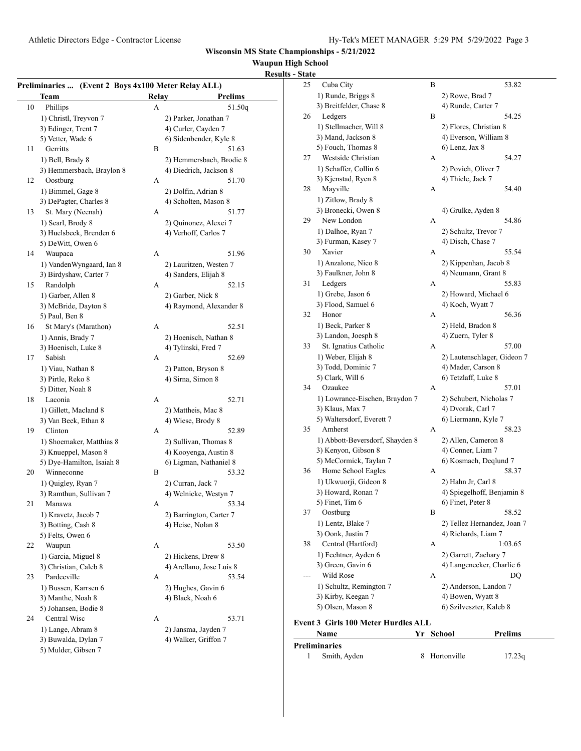### **Waupun High School**

#### Athletic Directors Edge - Contractor License Hy-Tek's MEET MANAGER 5:29 PM 5/29/2022 Page 3 **Results - State Preliminaries ... (Event 2 Boys 4x100 Meter Relay ALL) Team Relay Prelims** 10 Phillips A 51.50q 1) Christl, Treyvon 7 2) Parker, Jonathan 7 3) Edinger, Trent 7 4) Curler, Cayden 7 5) Vetter, Wade 6 6) Sidenbender, Kyle 8 11 Gerritts B 51.63 1) Bell, Brady 8 2) Hemmersbach, Brodie 8 3) Hemmersbach, Braylon 8 4) Diedrich, Jackson 8 12 Oostburg A 51.70 1) Bimmel, Gage 8 2) Dolfin, Adrian 8 3) DePagter, Charles 8 4) Scholten, Mason 8 13 St. Mary (Neenah) A 51.77 1) Searl, Brody 8 2) Quinonez, Alexei 7 3) Huelsbeck, Brenden 6 4) Verhoff, Carlos 7 5) DeWitt, Owen 6 14 Waupaca A 51.96 1) VandenWyngaard, Ian 8 2) Lauritzen, Westen 7 3) Birdyshaw, Carter 7 4) Sanders, Elijah 8 15 Randolph A 52.15 1) Garber, Allen 8 2) Garber, Nick 8 3) McBride, Dayton 8 4) Raymond, Alexander 8 5) Paul, Ben 8 16 St Mary's (Marathon) A 52.51 1) Annis, Brady 7 2) Hoenisch, Nathan 8 3) Hoenisch, Luke 8 4) Tylinski, Fred 7 17 Sabish A 52.69 1) Viau, Nathan 8 2) Patton, Bryson 8 3) Pirtle, Reko 8 4) Sirna, Simon 8 5) Ditter, Noah 8 18 Laconia **A** 52.71 1) Gillett, Macland 8 2) Mattheis, Mac 8 3) Van Beek, Ethan 8 4) Wiese, Brody 8 19 Clinton A 52.89 1) Shoemaker, Matthias 8 2) Sullivan, Thomas 8 3) Knueppel, Mason 8 4) Kooyenga, Austin 8 5) Dye-Hamilton, Isaiah 8 6) Ligman, Nathaniel 8 20 Winneconne B 53.32 1) Quigley, Ryan 7 2) Curran, Jack 7 3) Ramthun, Sullivan 7 4) Welnicke, Westyn 7 21 Manawa A 53.34 1) Kravetz, Jacob 7 2) Barrington, Carter 7 3) Botting, Cash 8 4) Heise, Nolan 8  $5)$  Fe 22 Waupun A 53.50 1) Garcia, Miguel 8 2) Hickens, Drew 8 3) Christian, Caleb 8 4) Arellano, Jose Luis 8 23 Pardeeville A 53.54 1) Bussen, Karrsen 6 2) Hughes, Gavin 6

|    | 1) Kravetz, Jacob /   |                    | 2) Barrington, Carter /  |
|----|-----------------------|--------------------|--------------------------|
|    | 3) Botting, Cash 8    | 4) Heise, Nolan 8  |                          |
|    | 5) Felts, Owen 6      |                    |                          |
| 22 | Waupun                | А                  | 53.50                    |
|    | 1) Garcia, Miguel 8   | 2) Hickens, Drew 8 |                          |
|    | 3) Christian, Caleb 8 |                    | 4) Arellano, Jose Luis 8 |
| 23 | Pardeeville           | А                  | 53.54                    |
|    | 1) Bussen, Karrsen 6  | 2) Hughes, Gavin 6 |                          |
|    | 3) Manthe, Noah 8     | 4) Black, Noah 6   |                          |
|    | 5) Johansen, Bodie 8  |                    |                          |
| 24 | Central Wisc          | А                  | 53.71                    |
|    |                       |                    |                          |

1) Lange, Abram 8 2) Jansma, Jayden 7 3) Buwalda, Dylan 7 4) Walker, Griffon 7 5) Mulder, Gibsen 7

| arrington, Carter 7<br>eise, Nolan 8 |  |
|--------------------------------------|--|
| 53.50                                |  |
| ickens, Drew 8                       |  |
| rellano, Jose Luis 8                 |  |
| 53.54                                |  |
| ughes, Gavin 6                       |  |
| lack, Noah 6                         |  |
| 53.71                                |  |
| nemo Joydan 7                        |  |

| 25 | Cuba City                           | B | 53.82                       |
|----|-------------------------------------|---|-----------------------------|
|    | 1) Runde, Briggs 8                  |   | 2) Rowe, Brad 7             |
|    | 3) Breitfelder, Chase 8             |   | 4) Runde, Carter 7          |
| 26 | Ledgers                             | B | 54.25                       |
|    | 1) Stellmacher, Will 8              |   | 2) Flores, Christian 8      |
|    | 3) Mand, Jackson 8                  |   | 4) Everson, William 8       |
|    | 5) Fouch, Thomas 8                  |   | 6) Lenz, Jax 8              |
| 27 | Westside Christian                  | А | 54.27                       |
|    | 1) Schaffer, Collin 6               |   | 2) Povich, Oliver 7         |
|    | 3) Kjenstad, Ryen 8                 |   | 4) Thiele, Jack 7           |
| 28 | Mayville                            | А | 54.40                       |
|    | 1) Zitlow, Brady 8                  |   |                             |
|    | 3) Bronecki, Owen 8                 |   | 4) Grulke, Ayden 8          |
| 29 | New London                          | А | 54.86                       |
|    | 1) Dalhoe, Ryan 7                   |   | 2) Schultz, Trevor 7        |
|    | 3) Furman, Kasey 7                  |   | 4) Disch, Chase 7           |
| 30 | Xavier                              | А | 55.54                       |
|    | 1) Anzalone, Nico 8                 |   | 2) Kippenhan, Jacob 8       |
|    | 3) Faulkner, John 8                 |   | 4) Neumann, Grant 8         |
| 31 | Ledgers                             | А | 55.83                       |
|    | 1) Grebe, Jason 6                   |   | 2) Howard, Michael 6        |
|    | 3) Flood, Samuel 6                  |   | 4) Koch, Wyatt 7            |
| 32 | Honor                               | А | 56.36                       |
|    | 1) Beck, Parker 8                   |   | 2) Held, Bradon 8           |
|    | 3) Landon, Joesph 8                 |   | 4) Zuern, Tyler 8           |
| 33 | St. Ignatius Catholic               | А | 57.00                       |
|    | 1) Weber, Elijah 8                  |   | 2) Lautenschlager, Gideon 7 |
|    | 3) Todd, Dominic 7                  |   | 4) Mader, Carson 8          |
|    | 5) Clark, Will 6                    |   | 6) Tetzlaff, Luke 8         |
| 34 | Ozaukee                             | А | 57.01                       |
|    | 1) Lowrance-Eischen, Braydon 7      |   | 2) Schubert, Nicholas 7     |
|    | 3) Klaus, Max 7                     |   | 4) Dvorak, Carl 7           |
|    | 5) Waltersdorf, Everett 7           |   | 6) Liermann, Kyle 7         |
| 35 | Amherst                             | А | 58.23                       |
|    | 1) Abbott-Beversdorf, Shayden 8     |   | 2) Allen, Cameron 8         |
|    | 3) Kenyon, Gibson 8                 |   | 4) Conner, Liam 7           |
|    | 5) McCormick, Taylan 7              |   | 6) Kosmach, Deqlund 7       |
| 36 | Home School Eagles                  | А | 58.37                       |
|    | 1) Ukwuorji, Gideon 8               |   | 2) Hahn Jr, Carl 8          |
|    | 3) Howard, Ronan 7                  |   | 4) Spiegelhoff, Benjamin 8  |
|    | 5) Finet, Tim 6                     |   | 6) Finet, Peter 8           |
| 37 | Oostburg                            | B | 58.52                       |
|    | 1) Lentz, Blake 7                   |   | 2) Tellez Hernandez, Joan 7 |
|    | 3) Oonk, Justin 7                   |   | 4) Richards, Liam 7         |
| 38 | Central (Hartford)                  | А | 1:03.65                     |
|    | 1) Fechtner, Ayden 6                |   | 2) Garrett, Zachary 7       |
|    | 3) Green, Gavin 6                   |   | 4) Langenecker, Charlie 6   |
|    | Wild Rose                           | А | DQ                          |
|    | 1) Schultz, Remington 7             |   | 2) Anderson, Landon 7       |
|    | 3) Kirby, Keegan 7                  |   | 4) Bowen, Wyatt 8           |
|    | 5) Olsen, Mason 8                   |   | 6) Szilveszter, Kaleb 8     |
|    | Event 3 Girls 100 Meter Hurdles ALL |   |                             |
|    |                                     |   |                             |

## **Name Yr School Prelims Preli**

| reliminaries' |              |               |        |  |  |  |
|---------------|--------------|---------------|--------|--|--|--|
|               | Smith, Ayden | 8 Hortonville | 17.23q |  |  |  |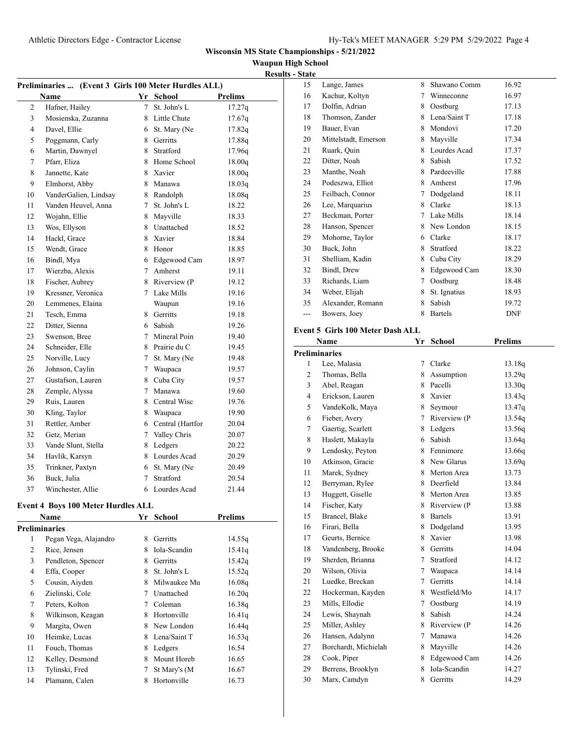**Waupun High School**

| -                      |  |
|------------------------|--|
| <b>Results - State</b> |  |

|                | Preliminaries  (Event 3 Girls 100 Meter Hurdles ALL) |                 |                    |                |
|----------------|------------------------------------------------------|-----------------|--------------------|----------------|
|                | Name                                                 |                 | Yr School          | <b>Prelims</b> |
| $\overline{c}$ | Hafner, Hailey                                       | $7^{\circ}$     | St. John's L       | 17.27q         |
| 3              | Mosienska, Zuzanna                                   | 8               | Little Chute       | 17.67q         |
| 4              | Davel, Ellie                                         | 6               | St. Mary (Ne       | 17.82q         |
| 5              | Poggmann, Carly                                      | 8               | Gerritts           | 17.88q         |
| 6              | Martin, Dawnyel                                      | 8               | Stratford          | 17.96q         |
| 7              | Pfarr, Eliza                                         | 8               | Home School        | 18.00q         |
| 8              | Jannette, Kate                                       | 8               | Xavier             | 18.00q         |
| 9              | Elmhorst, Abby                                       | 8               | Manawa             | 18.03q         |
| 10             | VanderGalien, Lindsay                                |                 | 8 Randolph         | 18.08q         |
| 11             | Vanden Heuvel, Anna                                  | 7               | St. John's L       | 18.22          |
| 12             | Wojahn, Ellie                                        |                 | 8 Mayville         | 18.33          |
| 13             | Wos, Ellyson                                         |                 | 8 Unattached       | 18.52          |
| 14             | Hackl, Grace                                         | 8               | Xavier             | 18.84          |
| 15             | Wendt, Grace                                         |                 | 8 Honor            | 18.85          |
| 16             | Bindl, Mya                                           |                 | 6 Edgewood Cam     | 18.97          |
| 17             | Wierzba, Alexis                                      |                 | 7 Amherst          | 19.11          |
| 18             | Fischer, Aubrey                                      |                 | 8 Riverview (P     | 19.12          |
| 19             | Kressner, Veronica                                   |                 | 7 Lake Mills       | 19.16          |
| 20             | Lemmenes, Elaina                                     |                 | Waupun             | 19.16          |
| 21             | Tesch, Emma                                          |                 | 8 Gerritts         | 19.18          |
| 22             | Ditter, Sienna                                       | 6               | Sabish             | 19.26          |
| 23             | Swenson, Bree                                        | 7               | Mineral Poin       | 19.40          |
| 24             | Schneider, Elle                                      |                 | 8 Prairie du C     | 19.45          |
| 25             | Norville, Lucy                                       | $7^{\circ}$     | St. Mary (Ne       | 19.48          |
| 26             | Johnson, Caylin                                      | $7\overline{ }$ | Waupaca            | 19.57          |
| 27             | Gustafson, Lauren                                    | 8               | Cuba City          | 19.57          |
| 28             | Zemple, Alyssa                                       | 7               | Manawa             | 19.60          |
| 29             | Ruis, Lauren                                         |                 | 8 Central Wisc     | 19.76          |
| 30             | Kling, Taylor                                        |                 | 8 Waupaca          | 19.90          |
| 31             | Rettler, Amber                                       |                 | 6 Central (Hartfor | 20.04          |
| 32             | Getz, Merian                                         | $7^{\circ}$     | Valley Chris       | 20.07          |
| 33             | Vande Slunt, Stella                                  | 8               | Ledgers            | 20.22          |
| 34             | Havlik, Karsyn                                       |                 | 8 Lourdes Acad     | 20.29          |
| 35             | Trinkner, Paxtyn                                     | 6               | St. Mary (Ne       | 20.49          |
| 36             | Buck, Julia                                          | $\tau$          | Stratford          | 20.54          |
| 37             | Winchester, Allie                                    |                 | 6 Lourdes Acad     | 21.44          |
|                |                                                      |                 |                    |                |

## **Event 4 Boys 100 Meter Hurdles ALL**

| Event 4 Boys 100 Meter Hurdles ALL |                       |   |              |         |  |  |
|------------------------------------|-----------------------|---|--------------|---------|--|--|
|                                    | <b>Name</b>           |   | Yr School    | Prelims |  |  |
|                                    | Preliminaries         |   |              |         |  |  |
| 1                                  | Pegan Vega, Alajandro | 8 | Gerritts     | 14.55q  |  |  |
| 2                                  | Rice, Jensen          | 8 | Iola-Scandin | 15.41q  |  |  |
| 3                                  | Pendleton, Spencer    | 8 | Gerritts     | 15.42q  |  |  |
| 4                                  | Effa, Cooper          | 8 | St. John's L | 15.52q  |  |  |
| 5                                  | Cousin, Aiyden        | 8 | Milwaukee Mu | 16.08q  |  |  |
| 6                                  | Zielinski, Cole       | 7 | Unattached   | 16.20q  |  |  |
| 7                                  | Peters, Kolton        | 7 | Coleman      | 16.38q  |  |  |
| 8                                  | Wilkinson, Keagan     | 8 | Hortonville  | 16.41q  |  |  |
| 9                                  | Margita, Owen         | 8 | New London   | 16.44q  |  |  |
| 10                                 | Heimke, Lucas         | 8 | Lena/Saint T | 16.53q  |  |  |
| 11                                 | Fouch, Thomas         | 8 | Ledgers      | 16.54   |  |  |
| 12                                 | Kelley, Desmond       | 8 | Mount Horeb  | 16.65   |  |  |
| 13                                 | Tylinski, Fred        | 7 | St Mary's (M | 16.67   |  |  |
| 14                                 | Plamann, Calen        | 8 | Hortonville  | 16.73   |  |  |
|                                    |                       |   |              |         |  |  |

| 15     | Lange, James                      | 8      | Shawano Comm   | 16.92          |
|--------|-----------------------------------|--------|----------------|----------------|
| 16     | Kachur, Koltyn                    | 7      | Winneconne     | 16.97          |
| 17     | Dolfin, Adrian                    | 8      | Oostburg       | 17.13          |
| 18     | Thomson, Zander                   | 8      | Lena/Saint T   | 17.18          |
| 19     | Bauer, Evan                       | 8      | Mondovi        | 17.20          |
| 20     | Mittelstadt, Emerson              | 8      | Mayville       | 17.34          |
| 21     | Ruark, Quin                       | 8      | Lourdes Acad   | 17.37          |
| 22     | Ditter, Noah                      | 8      | Sabish         | 17.52          |
| 23     | Manthe, Noah                      | 8      | Pardeeville    | 17.88          |
| 24     | Podeszwa, Elliot                  | 8      | Amherst        | 17.96          |
| 25     | Feilbach, Connor                  | 7      | Dodgeland      | 18.11          |
| 26     | Lee, Marquarius                   | 8      | Clarke         | 18.13          |
| 27     | Beckman, Porter                   | 7      | Lake Mills     | 18.14          |
| 28     | Hanson, Spencer                   | 8      | New London     | 18.15          |
| 29     | Mohorne, Taylor                   |        | 6 Clarke       | 18.17          |
| 30     | Buck, John                        | 8      | Stratford      | 18.22          |
| 31     | Shelliam, Kadin                   | 8      |                | 18.29          |
|        |                                   |        | Cuba City      |                |
| 32     | Bindl, Drew                       | 8      | Edgewood Cam   | 18.30          |
| 33     | Richards, Liam                    | $\tau$ | Oostburg       | 18.48          |
| 34     | Weber, Elijah                     | 8      | St. Ignatius   | 18.93          |
| 35     | Alexander, Romann                 | 8      | Sabish         | 19.72          |
| $---$  | Bowers, Joey                      | 8      | <b>Bartels</b> | <b>DNF</b>     |
|        | Event 5 Girls 100 Meter Dash ALL  |        |                |                |
|        | Name                              | Yr     | <b>School</b>  | <b>Prelims</b> |
|        | <b>Preliminaries</b>              |        |                |                |
| 1      | Lee, Malasia                      | 7      | Clarke         | 13.18q         |
| 2      | Thomas, Bella                     | 8      | Assumption     | 13.29q         |
|        |                                   |        |                |                |
|        |                                   | 8      | Pacelli        |                |
| 3<br>4 | Abel, Reagan                      | 8      | Xavier         | 13.30q         |
|        | Erickson, Lauren                  |        |                | 13.43q         |
| 5      | VandeKolk, Maya                   | 8      | Seymour        | 13.47q         |
| 6      | Fieber, Avery                     | 7      | Riverview (P   | 13.54q         |
| 7      | Gaertig, Scarlett                 | 8      | Ledgers        | 13.56q         |
| 8      | Haslett, Makayla                  | 6      | Sabish         | 13.64q         |
| 9      | Lendosky, Peyton                  | 8      | Fennimore      | 13.66q         |
| 10     | Atkinson, Gracie                  | 8      | New Glarus     | 13.69q         |
| 11     | Marek, Sydney                     | 8      | Merton Area    | 13.73          |
| 12     | Berryman, Rylee                   | 8      | Deerfield      | 13.84          |
| 13     | Huggett, Giselle                  | 8      | Merton Area    | 13.85          |
| 14     | Fischer, Katy                     | 8      | Riverview (P   | 13.88          |
| 15     | Brancel, Blake                    | 8      | <b>Bartels</b> | 13.91          |
| 16     | Firari, Bella                     | 8      | Dodgeland      | 13.95          |
| 17     | Geurts, Bernice                   | 8      | Xavier         | 13.98          |
| 18     | Vandenberg, Brooke                | 8      | Gerritts       | 14.04          |
| 19     | Sherden, Brianna                  | 7      | Stratford      | 14.12          |
| 20     | Wilson, Olivia                    | 7      | Waupaca        | 14.14          |
| 21     | Luedke, Breckan                   | 7      | Gerritts       | 14.14          |
| 22     | Hockerman, Kayden                 | 8      | Westfield/Mo   | 14.17          |
| 23     | Mills, Ellodie                    | 7      | Oostburg       | 14.19          |
| 24     | Lewis, Shaynah                    | 8      | Sabish         | 14.24          |
| 25     | Miller, Ashley                    | 8      | Riverview (P   | 14.26          |
| 26     | Hansen, Adalynn                   | 7      | Manawa         | 14.26          |
| 27     | Borchardt, Michielah              | 8      | Mayville       | 14.26          |
| 28     | Cook, Piper                       | 8      | Edgewood Cam   | 14.26          |
| 29     | Berrens, Brooklyn<br>Marx, Camdyn | 8      | Iola-Scandin   | 14.27<br>14.29 |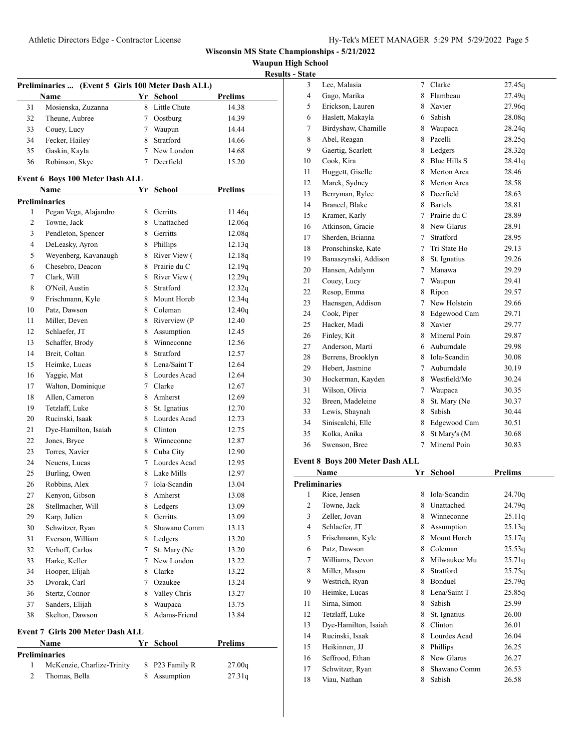**Waupun High School Results - State**

|          |                                                   |    |                               |                | <b>Res</b> |
|----------|---------------------------------------------------|----|-------------------------------|----------------|------------|
|          | Preliminaries  (Event 5 Girls 100 Meter Dash ALL) |    |                               |                |            |
|          | Name                                              |    | Yr School                     | <b>Prelims</b> |            |
| 31       | Mosienska, Zuzanna                                |    | 8 Little Chute                | 14.38          |            |
| 32       | Theune, Aubree                                    |    | 7 Oostburg                    | 14.39          |            |
| 33       | Couey, Lucy                                       |    | 7 Waupun                      | 14.44          |            |
| 34       | Fecker, Hailey                                    |    | 8 Stratford                   | 14.66          |            |
| 35       | Gaskin, Kayla                                     |    | 7 New London                  | 14.68          |            |
| 36       | Robinson, Skye                                    |    | 7 Deerfield                   | 15.20          |            |
|          | Event 6 Boys 100 Meter Dash ALL                   |    |                               |                |            |
|          | <b>Name</b>                                       |    | Yr School                     | <b>Prelims</b> |            |
|          | <b>Preliminaries</b>                              |    |                               |                |            |
| 1        | Pegan Vega, Alajandro                             |    | 8 Gerritts                    | 11.46q         |            |
| 2        | Towne, Jack                                       |    | 8 Unattached                  | 12.06q         |            |
| 3        | Pendleton, Spencer                                |    | 8 Gerritts                    | 12.08q         |            |
| 4        | DeLeasky, Ayron                                   |    | 8 Phillips                    | 12.13q         |            |
| 5        | Weyenberg, Kavanaugh                              |    | 8 River View (                | 12.18q         |            |
| 6        | Chesebro, Deacon                                  |    | 8 Prairie du C                | 12.19q         |            |
| 7        | Clark, Will                                       |    | 8 River View (                | 12.29q         |            |
| 8        | O'Neil, Austin                                    |    | 8 Stratford                   | 12.32q         |            |
| 9        | Frischmann, Kyle                                  |    | 8 Mount Horeb                 | 12.34q         |            |
| 10       | Patz, Dawson                                      |    | 8 Coleman                     | 12.40q         |            |
| 11       | Miller, Deven                                     |    | 8 Riverview (P                | 12.40          |            |
| 12       | Schlaefer, JT                                     |    | 8 Assumption                  | 12.45          |            |
| 13       | Schaffer, Brody                                   |    | 8 Winneconne                  | 12.56          |            |
| 14       | Breit, Coltan                                     | 8  | Stratford                     | 12.57          |            |
| 15       | Heimke, Lucas                                     |    | 8 Lena/Saint T                | 12.64          |            |
| 16       | Yaggie, Mat                                       |    | 8 Lourdes Acad                | 12.64          |            |
| 17       | Walton, Dominique                                 |    | 7 Clarke                      | 12.67          |            |
| 18       | Allen, Cameron                                    |    | 8 Amherst                     | 12.69          |            |
| 19       | Tetzlaff, Luke                                    |    | 8 St. Ignatius                | 12.70          |            |
| 20       | Rucinski, Isaak                                   |    | 8 Lourdes Acad                | 12.73          |            |
| 21       | Dye-Hamilton, Isaiah                              |    | 8 Clinton                     | 12.75          |            |
| 22       | Jones, Bryce                                      |    | 8 Winneconne                  |                |            |
| 23       | Torres, Xavier                                    |    |                               | 12.87<br>12.90 |            |
| 24       | Neuens, Lucas                                     |    | 8 Cuba City<br>7 Lourdes Acad |                |            |
|          |                                                   |    | 8 Lake Mills                  | 12.95<br>12.97 |            |
| 25<br>26 | Burling, Owen<br>Robbins, Alex                    |    | 7 Iola-Scandin                |                |            |
|          |                                                   |    |                               | 13.04          |            |
| 27       | Kenyon, Gibson                                    | 8  | Amherst                       | 13.08          |            |
| 28       | Stellmacher, Will                                 | 8  | Ledgers<br>8 Gerritts         | 13.09          |            |
| 29       | Karp, Julien                                      |    |                               | 13.09          |            |
| 30       | Schwitzer, Ryan<br>Everson, William               | 8  | Shawano Comm                  | 13.13          |            |
| 31       |                                                   |    | 8 Ledgers                     | 13.20          |            |
| 32       | Verhoff, Carlos                                   | 7  | St. Mary (Ne                  | 13.20          |            |
| 33       | Harke, Keller                                     | 7  | New London                    | 13.22          |            |
| 34       | Hooper, Elijah                                    |    | 8 Clarke                      | 13.22          |            |
| 35       | Dvorak, Carl                                      | 7  | Ozaukee                       | 13.24          |            |
| 36       | Stertz, Connor                                    | 8. | Valley Chris                  | 13.27          |            |
| 37       | Sanders, Elijah                                   | 8  | Waupaca                       | 13.75          |            |
| 38       | Skelton, Dawson                                   | 8  | Adams-Friend                  | 13.84          |            |
|          | Event 7 Girls 200 Meter Dash ALL                  |    |                               |                |            |
|          | Name                                              | Yr | <b>School</b>                 | <b>Prelims</b> |            |
|          | <b>Preliminaries</b>                              |    |                               |                |            |
| 1        | McKenzie, Charlize-Trinity                        | 8  | P23 Family R                  | 27.00q         |            |
| 2        | Thomas, Bella                                     |    | 8 Assumption                  | 27.31q         |            |

|                | <b>Preliminaries</b>                   |             |                |                |  |  |  |
|----------------|----------------------------------------|-------------|----------------|----------------|--|--|--|
|                | Name                                   | Yr          | <b>School</b>  | <b>Prelims</b> |  |  |  |
|                | <b>Event 8 Boys 200 Meter Dash ALL</b> |             |                |                |  |  |  |
| 36             | Swenson, Bree                          | $\tau$      | Mineral Poin   | 30.83          |  |  |  |
| 35             | Kolka, Anika                           | 8           | St Mary's (M   | 30.68          |  |  |  |
| 34             | Siniscalchi, Elle                      |             | 8 Edgewood Cam | 30.51          |  |  |  |
| 33             | Lewis, Shaynah                         |             | 8 Sabish       | 30.44          |  |  |  |
| 32             | Breen, Madeleine                       | 8           | St. Mary (Ne   | 30.37          |  |  |  |
| 31             | Wilson, Olivia                         |             | 7 Waupaca      | 30.35          |  |  |  |
| 30             | Hockerman, Kayden                      |             | 8 Westfield/Mo | 30.24          |  |  |  |
| 29             | Hebert, Jasmine                        |             | 7 Auburndale   | 30.19          |  |  |  |
| 28             | Berrens, Brooklyn                      |             | 8 Iola-Scandin | 30.08          |  |  |  |
| 27             | Anderson, Marti                        |             | 6 Auburndale   | 29.98          |  |  |  |
| 26             | Finley, Kit                            |             | 8 Mineral Poin | 29.87          |  |  |  |
| 25             | Hacker, Madi                           |             | 8 Xavier       | 29.77          |  |  |  |
| 24             | Cook, Piper                            |             | 8 Edgewood Cam | 29.71          |  |  |  |
| 23             | Haensgen, Addison                      | $7^{\circ}$ | New Holstein   | 29.66          |  |  |  |
| 22             | Resop, Emma                            | 8           | Ripon          | 29.57          |  |  |  |
| 21             | Couey, Lucy                            |             | 7 Waupun       | 29.41          |  |  |  |
| 20             | Hansen, Adalynn                        |             | 7 Manawa       | 29.29          |  |  |  |
| 19             | Banaszynski, Addison                   |             | 8 St. Ignatius | 29.26          |  |  |  |
| 18             | Pronschinske, Kate                     |             | 7 Tri State Ho | 29.13          |  |  |  |
| 17             | Sherden, Brianna                       |             | 7 Stratford    | 28.95          |  |  |  |
| 16             | Atkinson, Gracie                       |             | 8 New Glarus   | 28.91          |  |  |  |
| 15             | Kramer, Karly                          |             | 7 Prairie du C | 28.89          |  |  |  |
| 14             | Brancel, Blake                         |             | 8 Bartels      | 28.81          |  |  |  |
| 13             | Berryman, Rylee                        |             | 8 Deerfield    | 28.63          |  |  |  |
| 12             | Marek, Sydney                          |             | 8 Merton Area  | 28.58          |  |  |  |
| 11             | Huggett, Giselle                       |             | 8 Merton Area  | 28.46          |  |  |  |
| 10             | Cook, Kira                             |             | 8 Blue Hills S | 28.41q         |  |  |  |
| 9              | Gaertig, Scarlett                      |             | 8 Ledgers      | 28.32q         |  |  |  |
| 8              | Abel, Reagan                           |             | 8 Pacelli      | 28.25q         |  |  |  |
| $\overline{7}$ | Birdyshaw, Chamille                    |             | 8 Waupaca      | 28.24q         |  |  |  |
| 6              | Haslett, Makayla                       |             | 6 Sabish       | 28.08q         |  |  |  |
| 5              | Erickson, Lauren                       |             | 8 Xavier       | 27.96q         |  |  |  |
| $\overline{4}$ | Gago, Marika                           |             | 8 Flambeau     | 27.49q         |  |  |  |
| 3              | Lee, Malasia                           |             | 7 Clarke       | 27.45q         |  |  |  |
| otate          |                                        |             |                |                |  |  |  |

| Name |                      | Yr | School       | Prelims |  |
|------|----------------------|----|--------------|---------|--|
|      | <b>Preliminaries</b> |    |              |         |  |
| 1    | Rice, Jensen         | 8  | Iola-Scandin | 24.70q  |  |
| 2    | Towne, Jack          | 8  | Unattached   | 24.79q  |  |
| 3    | Zeller, Jovan        | 8  | Winneconne   | 25.11q  |  |
| 4    | Schlaefer, JT        | 8  | Assumption   | 25.13q  |  |
| 5    | Frischmann, Kyle     | 8  | Mount Horeb  | 25.17q  |  |
| 6    | Patz, Dawson         | 8  | Coleman      | 25.53q  |  |
| 7    | Williams, Devon      | 8  | Milwaukee Mu | 25.71q  |  |
| 8    | Miller, Mason        | 8  | Stratford    | 25.75q  |  |
| 9    | Westrich, Ryan       | 8  | Bonduel      | 25.79q  |  |
| 10   | Heimke, Lucas        | 8  | Lena/Saint T | 25.85q  |  |
| 11   | Sirna, Simon         | 8  | Sabish       | 25.99   |  |
| 12   | Tetzlaff, Luke       | 8  | St. Ignatius | 26.00   |  |
| 13   | Dye-Hamilton, Isaiah | 8  | Clinton      | 26.01   |  |
| 14   | Rucinski, Isaak      | 8  | Lourdes Acad | 26.04   |  |
| 15   | Heikinnen, JJ        | 8  | Phillips     | 26.25   |  |
| 16   | Seffrood, Ethan      | 8  | New Glarus   | 26.27   |  |
| 17   | Schwitzer, Ryan      | 8  | Shawano Comm | 26.53   |  |
| 18   | Viau. Nathan         | 8  | Sabish       | 26.58   |  |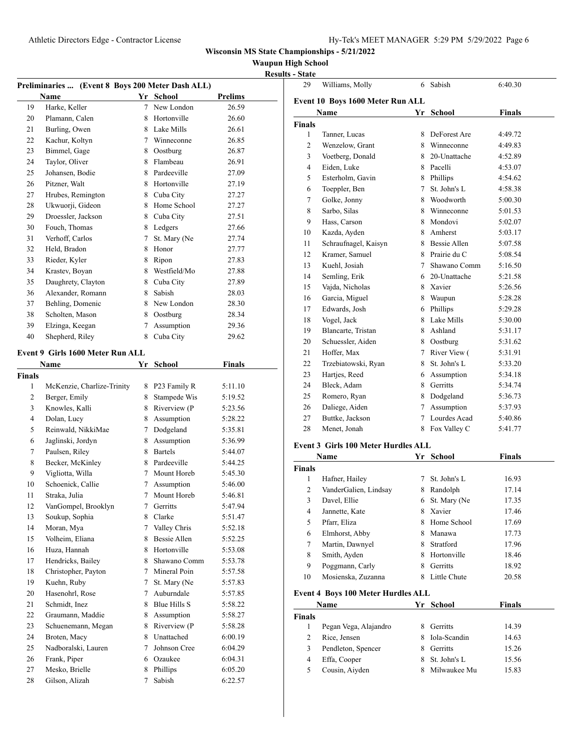**Waupun High School Results - State** 

|               | Preliminaries  (Event 8 Boys 200 Meter Dash ALL) |        |                    |                    |
|---------------|--------------------------------------------------|--------|--------------------|--------------------|
|               | Name                                             |        | Yr School          | <b>Prelims</b>     |
| 19            | Harke, Keller                                    | 7      | New London         | 26.59              |
| 20            | Plamann, Calen                                   | 8      | Hortonville        | 26.60              |
| 21            | Burling, Owen                                    |        | 8 Lake Mills       | 26.61              |
| 22            | Kachur, Koltyn                                   |        | 7 Winneconne       | 26.85              |
| 23            | Bimmel, Gage                                     |        | 8 Oostburg         | 26.87              |
| 24            | Taylor, Oliver                                   | 8      | Flambeau           | 26.91              |
| 25            | Johansen, Bodie                                  |        | 8 Pardeeville      | 27.09              |
| 26            | Pitzner, Walt                                    |        | 8 Hortonville      | 27.19              |
| 27            | Hrubes, Remington                                |        | 8 Cuba City        | 27.27              |
| 28            | Ukwuorji, Gideon                                 |        | 8 Home School      | 27.27              |
| 29            | Droessler, Jackson                               |        | 8 Cuba City        | 27.51              |
| 30            | Fouch, Thomas                                    |        | 8 Ledgers          | 27.66              |
| 31            | Verhoff, Carlos                                  | $\tau$ | St. Mary (Ne       | 27.74              |
| 32            | Held, Bradon                                     | 8      | Honor              | 27.77              |
| 33            | Rieder, Kyler                                    | 8      | Ripon              | 27.83              |
| 34            | Krastev, Boyan                                   | 8      | Westfield/Mo       | 27.88              |
| 35            | Daughrety, Clayton                               |        | 8 Cuba City        | 27.89              |
| 36            | Alexander, Romann                                | 8      | Sabish             | 28.03              |
| 37            | Behling, Domenic                                 |        | 8 New London       | 28.30              |
| 38            | Scholten, Mason                                  |        | 8 Oostburg         | 28.34              |
| 39            | Elzinga, Keegan                                  | 7      | Assumption         | 29.36              |
| 40            | Shepherd, Riley                                  | 8      | Cuba City          | 29.62              |
|               | Event 9 Girls 1600 Meter Run ALL                 |        |                    |                    |
|               | Name                                             |        | Yr School          | <b>Finals</b>      |
| <b>Finals</b> |                                                  |        |                    |                    |
| 1             | McKenzie, Charlize-Trinity                       | 8      | P23 Family R       | 5:11.10            |
| 2             | Berger, Emily                                    | 8      | Stampede Wis       | 5:19.52            |
| 3             | Knowles, Kalli                                   | 8      | Riverview (P       | 5:23.56            |
| 4             | Dolan, Lucy                                      | 8      | Assumption         | 5:28.22            |
| 5             | Reinwald, NikkiMae                               | $\tau$ | Dodgeland          | 5:35.81            |
| 6             | Jaglinski, Jordyn                                | 8      | Assumption         | 5:36.99            |
| 7             | Paulsen, Riley                                   | 8      | <b>Bartels</b>     | 5:44.07            |
| 8             | Becker, McKinley                                 | 8      | Pardeeville        | 5:44.25            |
| 9             | Vigliotta, Willa                                 | 7      | Mount Horeb        | 5:45.30            |
| 10            | Schoenick, Callie                                | 7      | Assumption         | 5:46.00            |
| 11            | Straka, Julia                                    |        | 7 Mount Horeb      | 5:46.81            |
| 12            | VanGompel, Brooklyn                              | 7      | Gerritts           | 5:47.94            |
| 13            | Soukup, Sophia                                   | 8      | Clarke             | 5:51.47            |
| 14            | Moran, Mya                                       | 7      | Valley Chris       | 5:52.18            |
| 15            | Volheim, Eliana                                  | 8      | Bessie Allen       | 5:52.25            |
| 16            | Huza, Hannah                                     | 8      | Hortonville        | 5:53.08            |
| 17            | Hendricks, Bailey                                | 8      | Shawano Comm       | 5:53.78            |
| 18            | Christopher, Payton                              | $\tau$ | Mineral Poin       | 5:57.58            |
| 19            | Kuehn, Ruby                                      | 7      | St. Mary (Ne       |                    |
| 20            | Hasenohrl, Rose                                  | 7      | Auburndale         | 5:57.83            |
|               |                                                  |        | Blue Hills S       | 5:57.85            |
| 21            | Schmidt, Inez                                    | 8      |                    | 5:58.22            |
| 22            | Graumann, Maddie                                 | 8      | Assumption         | 5:58.27            |
| 23            | Schuenemann, Megan                               | 8      | Riverview (P       | 5:58.28            |
| 24            | Broten, Macy                                     | 8      | Unattached         | 6:00.19            |
| 25            | Nadboralski, Lauren                              | 7      | Johnson Cree       | 6:04.29            |
| 26            | Frank, Piper                                     | 6      | Ozaukee            | 6:04.31            |
| 27            | Mesko, Brielle<br>Gilson, Alizah                 | 8      | Phillips<br>Sabish | 6:05.20<br>6:22.57 |
| 28            |                                                  | 7      |                    |                    |

| 29                               | Williams, Molly      | 6  | Sabish         | 6:40.30 |  |  |  |  |  |
|----------------------------------|----------------------|----|----------------|---------|--|--|--|--|--|
| Event 10 Boys 1600 Meter Run ALL |                      |    |                |         |  |  |  |  |  |
|                                  | Name                 | Yr | <b>School</b>  | Finals  |  |  |  |  |  |
| <b>Finals</b>                    |                      |    |                |         |  |  |  |  |  |
| 1                                | Tanner, Lucas        | 8  | DeForest Are   | 4:49.72 |  |  |  |  |  |
| $\overline{c}$                   | Wenzelow, Grant      | 8  | Winneconne     | 4:49.83 |  |  |  |  |  |
| 3                                | Voetberg, Donald     |    | 8 20-Unattache | 4:52.89 |  |  |  |  |  |
| $\overline{4}$                   | Eiden, Luke          |    | 8 Pacelli      | 4:53.07 |  |  |  |  |  |
| 5                                | Esterholm, Gavin     | 8  | Phillips       | 4:54.62 |  |  |  |  |  |
| 6                                | Toeppler, Ben        | 7  | St. John's L   | 4:58.38 |  |  |  |  |  |
| 7                                | Golke, Jonny         | 8  | Woodworth      | 5:00.30 |  |  |  |  |  |
| 8                                | Sarbo, Silas         |    | 8 Winneconne   | 5:01.53 |  |  |  |  |  |
| 9                                | Hass, Carson         |    | 8 Mondovi      | 5:02.07 |  |  |  |  |  |
| 10                               | Kazda, Ayden         | 8  | Amherst        | 5:03.17 |  |  |  |  |  |
| 11                               | Schraufnagel, Kaisyn |    | 8 Bessie Allen | 5:07.58 |  |  |  |  |  |
| 12                               | Kramer, Samuel       |    | 8 Prairie du C | 5:08.54 |  |  |  |  |  |
| 13                               | Kuehl, Josiah        | 7  | Shawano Comm   | 5:16.50 |  |  |  |  |  |
| 14                               | Semling, Erik        |    | 6 20-Unattache | 5:21.58 |  |  |  |  |  |
| 15                               | Vajda, Nicholas      |    | 8 Xavier       | 5:26.56 |  |  |  |  |  |
| 16                               | Garcia, Miguel       | 8  | Waupun         | 5:28.28 |  |  |  |  |  |
| 17                               | Edwards, Josh        |    | 6 Phillips     | 5:29.28 |  |  |  |  |  |
| 18                               | Vogel, Jack          | 8  | Lake Mills     | 5:30.00 |  |  |  |  |  |
| 19                               | Blancarte, Tristan   | 8. | Ashland        | 5:31.17 |  |  |  |  |  |
| 20                               | Schuessler, Aiden    | 8  | Oostburg       | 5:31.62 |  |  |  |  |  |
| 21                               | Hoffer, Max          | 7  | River View (   | 5:31.91 |  |  |  |  |  |
| 22                               | Trzebiatowski, Ryan  | 8  | St. John's L   | 5:33.20 |  |  |  |  |  |
| 23                               | Hartjes, Reed        |    | 6 Assumption   | 5:34.18 |  |  |  |  |  |
| 24                               | Bleck, Adam          | 8  | Gerritts       | 5:34.74 |  |  |  |  |  |
| 25                               | Romero, Ryan         | 8  | Dodgeland      | 5:36.73 |  |  |  |  |  |
| 26                               | Daliege, Aiden       | 7  | Assumption     | 5:37.93 |  |  |  |  |  |
| 27                               | Buttke, Jackson      | 7  | Lourdes Acad   | 5:40.86 |  |  |  |  |  |
| 28                               | Menet, Jonah         | 8  | Fox Valley C   | 5:41.77 |  |  |  |  |  |
|                                  |                      |    |                |         |  |  |  |  |  |

#### **Event 3 Girls 100 Meter Hurdles ALL**

| Name          |                                           | Yr | School       | Finals |  |
|---------------|-------------------------------------------|----|--------------|--------|--|
| <b>Finals</b> |                                           |    |              |        |  |
| 1             | Hafner, Hailey                            | 7  | St. John's L | 16.93  |  |
| 2             | VanderGalien, Lindsay                     | 8  | Randolph     | 17.14  |  |
| 3             | Davel, Ellie                              | 6  | St. Mary (Ne | 17.35  |  |
| 4             | Jannette, Kate                            | 8  | Xavier       | 17.46  |  |
| 5             | Pfarr, Eliza                              | 8  | Home School  | 17.69  |  |
| 6             | Elmhorst, Abby                            | 8  | Manawa       | 17.73  |  |
| 7             | Martin, Dawnyel                           | 8  | Stratford    | 17.96  |  |
| 8             | Smith, Ayden                              | 8  | Hortonville  | 18.46  |  |
| 9             | Poggmann, Carly                           | 8  | Gerritts     | 18.92  |  |
| 10            | Mosienska, Zuzanna                        | 8  | Little Chute | 20.58  |  |
|               | <b>Event 4 Boys 100 Meter Hurdles ALL</b> |    |              |        |  |
|               | Name                                      | Yr | School       | Finals |  |
| <b>Finals</b> |                                           |    |              |        |  |
| 1             | Pegan Vega, Alajandro                     | 8  | Gerritts     | 14.39  |  |
| 2             | Rice, Jensen                              | 8  | Iola-Scandin | 14.63  |  |
| 3             | Pendleton, Spencer                        | 8  | Gerritts     | 15.26  |  |
| 4             | Effa, Cooper                              | 8  | St. John's L | 15.56  |  |
| 5             | Cousin, Aiyden                            | 8  | Milwaukee Mu | 15.83  |  |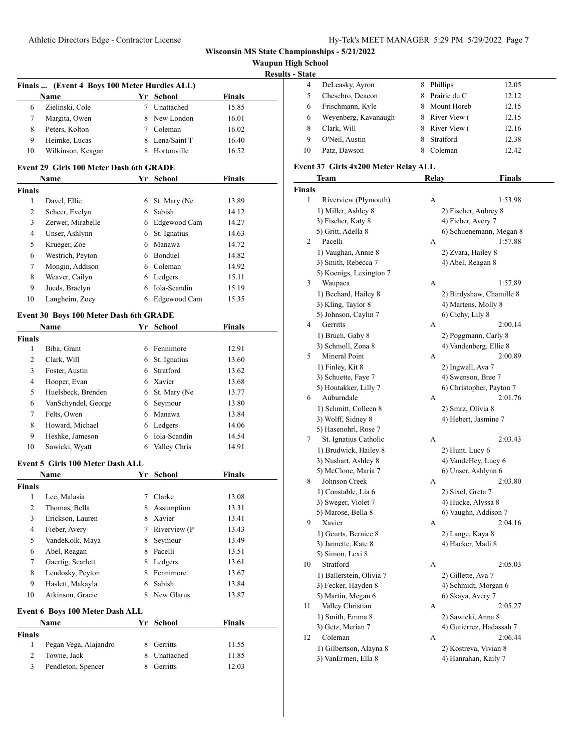| <b>Waupun High School</b> |  |  |
|---------------------------|--|--|
|---------------------------|--|--|

**<u>- State</u>** 

|                    | Finals  (Event 4 Boys 100 Meter Hurdles ALL) |    |                            |               | <b>Results - Sta</b> |
|--------------------|----------------------------------------------|----|----------------------------|---------------|----------------------|
|                    | Name                                         |    | Yr School                  | <b>Finals</b> |                      |
| 6                  | Zielinski, Cole                              |    | 7 Unattached               | 15.85         |                      |
| 7                  | Margita, Owen                                |    | 8 New London               | 16.01         |                      |
| 8                  | Peters, Kolton                               |    | 7 Coleman                  | 16.02         |                      |
| 9                  | Heimke, Lucas                                |    | 8 Lena/Saint T             | 16.40         |                      |
| 10                 | Wilkinson, Keagan                            |    | 8 Hortonville              | 16.52         |                      |
|                    |                                              |    |                            |               |                      |
|                    | Event 29 Girls 100 Meter Dash 6th GRADE      |    |                            |               |                      |
|                    | Name                                         |    | Yr School                  | <b>Finals</b> |                      |
| <b>Finals</b><br>1 | Davel, Ellie                                 |    | 6 St. Mary (Ne             | 13.89         |                      |
| $\overline{2}$     | Scheer, Evelyn                               |    | 6 Sabish                   | 14.12         |                      |
| 3                  | Zerwer, Mirabelle                            |    | 6 Edgewood Cam             | 14.27         |                      |
| $\overline{4}$     | Unser, Ashlynn                               |    |                            | 14.63         |                      |
| 5                  | Krueger, Zoe                                 |    | 6 St. Ignatius<br>6 Manawa | 14.72         |                      |
|                    |                                              |    | 6 Bonduel                  |               |                      |
| 6                  | Westrich, Peyton                             |    |                            | 14.82         |                      |
| 7                  | Mongin, Addison                              |    | 6 Coleman                  | 14.92         |                      |
| 8                  | Weaver, Cailyn                               |    | 6 Ledgers                  | 15.11         |                      |
| 9                  | Jueds, Braelyn                               |    | 6 Iola-Scandin             | 15.19         |                      |
| 10                 | Langheim, Zoey                               |    | 6 Edgewood Cam             | 15.35         |                      |
|                    | Event 30 Boys 100 Meter Dash 6th GRADE       |    |                            |               |                      |
|                    | Name                                         |    | Yr School                  | <b>Finals</b> |                      |
| <b>Finals</b>      |                                              |    |                            |               |                      |
| 1                  | Biba, Grant                                  |    | 6 Fennimore                | 12.91         |                      |
| $\overline{2}$     | Clark, Will                                  |    | 6 St. Ignatius             | 13.60         |                      |
| 3                  | Foster, Austin                               |    | 6 Stratford                | 13.62         |                      |
| $\overline{4}$     | Hooper, Evan                                 |    | 6 Xavier                   | 13.68         |                      |
| 5                  | Huelsbeck, Brenden                           |    | 6 St. Mary (Ne             | 13.77         |                      |
| 6                  | VanSchyndel, George                          |    | 6 Seymour                  | 13.80         |                      |
| 7                  | Felts, Owen                                  |    | 6 Manawa                   | 13.84         |                      |
| 8                  | Howard, Michael                              |    | 6 Ledgers                  | 14.06         |                      |
| 9                  | Heshke, Jameson                              |    | 6 Iola-Scandin             | 14.54         |                      |
| 10                 | Sawicki, Wyatt                               |    | 6 Valley Chris             | 14.91         |                      |
|                    | Event 5 Girls 100 Meter Dash ALL             |    |                            |               |                      |
|                    | Name                                         |    | Yr School                  | Finals        |                      |
| <b>Finals</b>      |                                              |    |                            |               |                      |
|                    | 1 Lee, Malasia                               |    | 7 Clarke                   | 13.08         |                      |
| $\mathbf{2}$       | Thomas, Bella                                |    | 8 Assumption               | 13.31         |                      |
| 3                  | Erickson, Lauren                             |    | 8 Xavier                   | 13.41         |                      |
| 4                  | Fieber, Avery                                |    | 7 Riverview (P             | 13.43         |                      |
| 5                  | VandeKolk, Maya                              | 8  | Seymour                    | 13.49         |                      |
| 6                  | Abel, Reagan                                 |    | 8 Pacelli                  | 13.51         |                      |
| 7                  | Gaertig, Scarlett                            |    | 8 Ledgers                  | 13.61         |                      |
| 8                  | Lendosky, Peyton                             |    | 8 Fennimore                | 13.67         |                      |
| 9                  | Haslett, Makayla                             | 6  | Sabish                     | 13.84         |                      |
| 10                 | Atkinson, Gracie                             |    | 8 New Glarus               | 13.87         |                      |
|                    | Event 6 Boys 100 Meter Dash ALL              |    |                            |               |                      |
|                    | Name                                         |    | Yr School                  | <b>Finals</b> |                      |
| <b>Finals</b>      |                                              |    |                            |               |                      |
| 1                  | Pegan Vega, Alajandro                        | 8  | Gerritts                   | 11.55         |                      |
| $\overline{c}$     | Towne, Jack                                  | 8  | Unattached                 | 11.85         |                      |
| 3                  | Pendleton, Spencer                           | 8. | Gerritts                   | 12.03         |                      |

| 4  | DeLeasky, Ayron      | 8 | Phillips       | 12.05 |
|----|----------------------|---|----------------|-------|
|    | Chesebro, Deacon     |   | 8 Prairie du C | 12.12 |
| 6  | Frischmann, Kyle     |   | 8 Mount Horeb  | 12.15 |
| 6  | Weyenberg, Kavanaugh |   | 8 River View ( | 12.15 |
| 8  | Clark, Will          |   | 8 River View ( | 12.16 |
| 9  | O'Neil, Austin       |   | Stratford      | 12.38 |
| 10 | Patz, Dawson         |   | Coleman        | 12.42 |
|    |                      |   |                |       |

#### **Event 37 Girls 4x200 Meter Relay ALL**

|      | <b>Team</b>              | Relay | Finals                   |
|------|--------------------------|-------|--------------------------|
| ıals |                          |       |                          |
| 1    | Riverview (Plymouth)     | А     | 1:53.98                  |
|      | 1) Miller, Ashley 8      |       | 2) Fischer, Aubrey 8     |
|      | 3) Fischer, Katy 8       |       | 4) Fieber, Avery 7       |
|      | 5) Gritt, Adella 8       |       | 6) Schuenemann, Megan 8  |
| 2    | Pacelli                  | А     | 1:57.88                  |
|      | 1) Vaughan, Annie 8      |       | 2) Zvara, Hailey 8       |
|      | 3) Smith, Rebecca 7      |       | 4) Abel, Reagan 8        |
|      | 5) Koenigs, Lexington 7  |       |                          |
| 3    | Waupaca                  | A     | 1:57.89                  |
|      | 1) Bechard, Hailey 8     |       | 2) Birdyshaw, Chamille 8 |
|      | 3) Kling, Taylor 8       |       | 4) Martens, Molly 8      |
|      | 5) Johnson, Caylin 7     |       | 6) Cichy, Lily 8         |
| 4    | Gerritts                 | А     | 2:00.14                  |
|      | 1) Bruch, Gaby 8         |       | 2) Poggmann, Carly 8     |
|      | 3) Schmoll, Zona 8       |       | 4) Vandenberg, Ellie 8   |
| 5    | Mineral Point            | А     | 2:00.89                  |
|      | 1) Finley, Kit 8         |       | 2) Ingwell, Ava 7        |
|      | 3) Schuette, Faye 7      |       | 4) Swenson, Bree 7       |
|      | 5) Houtakker, Lilly 7    |       | 6) Christopher, Payton 7 |
| 6    | Auburndale               | А     | 2:01.76                  |
|      | 1) Schmitt, Colleen 8    |       | 2) Smrz, Olivia 8        |
|      | 3) Wolff, Sidney 8       |       | 4) Hebert, Jasmine 7     |
|      | 5) Hasenohrl, Rose 7     |       |                          |
| 7    | St. Ignatius Catholic    | A     | 2:03.43                  |
|      | 1) Brudwick, Hailey 8    |       | 2) Hunt, Lucy 6          |
|      | 3) Nushart, Ashley 8     |       | 4) VandeHey, Lucy 6      |
|      | 5) McClone, Maria 7      |       | 6) Unser, Ashlynn 6      |
| 8    | Johnson Creek            | A     | 2:03.80                  |
|      | 1) Constable, Lia 6      |       | 2) Sixel, Greta 7        |
|      | 3) Sweger, Violet 7      |       | 4) Hucke, Alyssa 8       |
|      | 5) Marose, Bella 8       |       | 6) Vaughn, Addison 7     |
| 9    | Xavier                   | А     | 2:04.16                  |
|      | 1) Geurts, Bernice 8     |       | 2) Lange, Kaya 8         |
|      | 3) Jannette, Kate 8      |       | 4) Hacker, Madi 8        |
|      | 5) Simon, Lexi 8         |       |                          |
| 10   | Stratford                | А     | 2:05.03                  |
|      | 1) Ballerstein, Olivia 7 |       | 2) Gillette, Ava 7       |
|      | 3) Fecker, Hayden 8      |       | 4) Schmidt, Morgan 6     |
|      | 5) Martin, Megan 6       |       | 6) Skaya, Avery 7        |
| 11   | Valley Christian         | A     | 2:05.27                  |
|      | 1) Smith, Emma 8         |       | 2) Sawicki, Anna 8       |
|      | 3) Getz, Merian 7        |       | 4) Gutierrez, Hadassah 7 |
| 12   | Coleman                  | А     | 2:06.44                  |
|      | 1) Gilbertson, Alayna 8  |       | 2) Kostreva, Vivian 8    |
|      | 3) VanErmen, Ella 8      |       | 4) Hanrahan, Kaily 7     |
|      |                          |       |                          |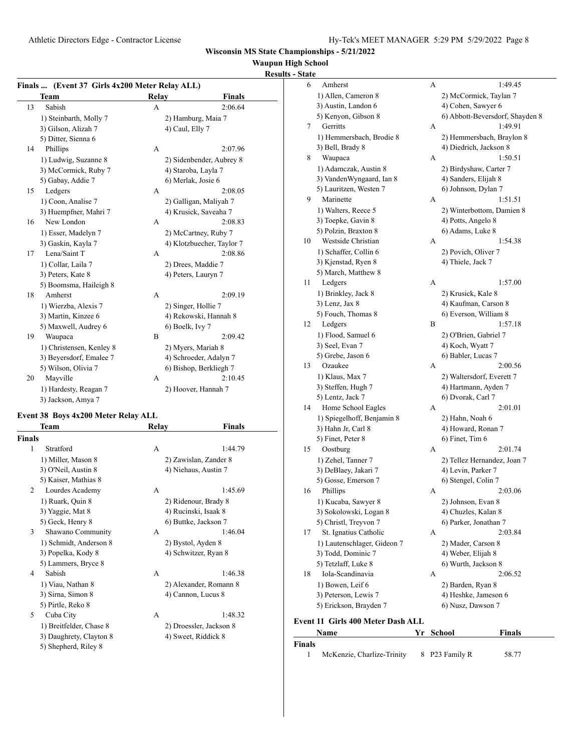## **Waupun High School**

#### **Results - State**

**Finals**

| Finals  (Event 37 Girls 4x200 Meter Relay ALL) |                          |       |                           |  |  |
|------------------------------------------------|--------------------------|-------|---------------------------|--|--|
|                                                | Team                     | Relay | <b>Finals</b>             |  |  |
| 13                                             | Sabish                   | A     | 2:06.64                   |  |  |
|                                                | 1) Steinbarth, Molly 7   |       | 2) Hamburg, Maia 7        |  |  |
|                                                | 3) Gilson, Alizah 7      |       | 4) Caul, Elly 7           |  |  |
|                                                | 5) Ditter, Sienna 6      |       |                           |  |  |
| 14                                             | Phillips                 | A     | 2:07.96                   |  |  |
|                                                | 1) Ludwig, Suzanne 8     |       | 2) Sidenbender, Aubrey 8  |  |  |
|                                                | 3) McCormick, Ruby 7     |       | 4) Staroba, Layla 7       |  |  |
|                                                | 5) Gabay, Addie 7        |       | 6) Merlak, Josie 6        |  |  |
| 15                                             | Ledgers                  | А     | 2:08.05                   |  |  |
|                                                | 1) Coon, Analise 7       |       | 2) Galligan, Maliyah 7    |  |  |
|                                                | 3) Huempfner, Mahri 7    |       | 4) Krusick, Saveaha 7     |  |  |
| 16                                             | New London               | A     | 2:08.83                   |  |  |
|                                                | 1) Esser, Madelyn 7      |       | 2) McCartney, Ruby 7      |  |  |
|                                                | 3) Gaskin, Kayla 7       |       | 4) Klotzbuecher, Taylor 7 |  |  |
| 17                                             | Lena/Saint T             | A     | 2:08.86                   |  |  |
|                                                | 1) Collar, Laila 7       |       | 2) Drees, Maddie 7        |  |  |
|                                                | 3) Peters, Kate 8        |       | 4) Peters, Lauryn 7       |  |  |
|                                                | 5) Boomsma, Haileigh 8   |       |                           |  |  |
| 18                                             | Amherst                  | A     | 2:09.19                   |  |  |
|                                                | 1) Wierzba, Alexis 7     |       | 2) Singer, Hollie 7       |  |  |
|                                                | 3) Martin, Kinzee 6      |       | 4) Rekowski, Hannah 8     |  |  |
|                                                | 5) Maxwell, Audrey 6     |       | 6) Boelk, Ivy 7           |  |  |
| 19                                             | Waupaca                  | B     | 2:09.42                   |  |  |
|                                                | 1) Christensen, Kenley 8 |       | 2) Myers, Mariah 8        |  |  |
|                                                | 3) Beyersdorf, Emalee 7  |       | 4) Schroeder, Adalyn 7    |  |  |
|                                                | 5) Wilson, Olivia 7      |       | 6) Bishop, Berkliegh 7    |  |  |
| 20                                             | Mayville                 | А     | 2:10.45                   |  |  |
|                                                | 1) Hardesty, Reagan 7    |       | 2) Hoover, Hannah 7       |  |  |
|                                                | 3) Jackson, Amya 7       |       |                           |  |  |

#### **Event 38 Boys 4x200 Meter Relay ALL**

|                | Team                    | Relay | Finals                  |
|----------------|-------------------------|-------|-------------------------|
| <b>Finals</b>  |                         |       |                         |
| 1              | Stratford               | A     | 1:44.79                 |
|                | 1) Miller, Mason 8      |       | 2) Zawislan, Zander 8   |
|                | 3) O'Neil, Austin 8     |       | 4) Niehaus, Austin 7    |
|                | 5) Kaiser, Mathias 8    |       |                         |
| $\mathfrak{D}$ | Lourdes Academy         | A     | 1:45.69                 |
|                | 1) Ruark, Quin 8        |       | 2) Ridenour, Brady 8    |
|                | 3) Yaggie, Mat 8        |       | 4) Rucinski, Isaak 8    |
|                | 5) Geck, Henry 8        |       | 6) Buttke, Jackson 7    |
| 3              | Shawano Community       | A     | 1:46.04                 |
|                | 1) Schmidt, Anderson 8  |       | 2) Bystol, Ayden 8      |
|                | 3) Popelka, Kody 8      |       | 4) Schwitzer, Ryan 8    |
|                | 5) Lammers, Bryce 8     |       |                         |
| 4              | Sabish                  | A     | 1:46.38                 |
|                | 1) Viau, Nathan 8       |       | 2) Alexander, Romann 8  |
|                | 3) Sirna, Simon 8       |       | 4) Cannon, Lucus 8      |
|                | 5) Pirtle, Reko 8       |       |                         |
| 5              | Cuba City               | A     | 1:48.32                 |
|                | 1) Breitfelder, Chase 8 |       | 2) Droessler, Jackson 8 |
|                | 3) Daughrety, Clayton 8 |       | 4) Sweet, Riddick 8     |
|                | 5) Shepherd, Riley 8    |       |                         |
|                |                         |       |                         |

| υιαιι |                                   |   |                                 |
|-------|-----------------------------------|---|---------------------------------|
| 6     | Amherst                           | А | 1:49.45                         |
|       | 1) Allen, Cameron 8               |   | 2) McCormick, Taylan 7          |
|       | 3) Austin, Landon 6               |   | 4) Cohen, Sawyer 6              |
|       | 5) Kenyon, Gibson 8               |   | 6) Abbott-Beversdorf, Shayden 8 |
| 7     | Gerritts                          | А | 1:49.91                         |
|       | 1) Hemmersbach, Brodie 8          |   | 2) Hemmersbach, Braylon 8       |
|       | 3) Bell, Brady 8                  |   | 4) Diedrich, Jackson 8          |
| 8     | Waupaca                           | А | 1:50.51                         |
|       | 1) Adamczak, Austin 8             |   | 2) Birdyshaw, Carter 7          |
|       | 3) VandenWyngaard, Ian 8          |   | 4) Sanders, Elijah 8            |
|       | 5) Lauritzen, Westen 7            |   | 6) Johnson, Dylan 7             |
| 9     | Marinette                         | А | 1:51.51                         |
|       | 1) Walters, Reece 5               |   | 2) Winterbottom, Damien 8       |
|       | 3) Toepke, Gavin 8                |   | 4) Potts, Angelo 8              |
|       | 5) Polzin, Braxton 8              |   | 6) Adams, Luke 8                |
| 10    | Westside Christian                | А | 1:54.38                         |
|       | 1) Schaffer, Collin 6             |   | 2) Povich, Oliver 7             |
|       | 3) Kjenstad, Ryen 8               |   | 4) Thiele, Jack 7               |
|       | 5) March, Matthew 8               |   |                                 |
| 11    | Ledgers                           | А | 1:57.00                         |
|       | 1) Brinkley, Jack 8               |   | 2) Krusick, Kale 8              |
|       | 3) Lenz, Jax 8                    |   | 4) Kaufman, Carson 8            |
|       | 5) Fouch, Thomas 8                |   | 6) Everson, William 8           |
| 12    | Ledgers                           | B | 1:57.18                         |
|       | 1) Flood, Samuel 6                |   | 2) O'Brien, Gabriel 7           |
|       | 3) Seel, Evan 7                   |   | 4) Koch, Wyatt 7                |
|       | 5) Grebe, Jason 6                 |   | 6) Babler, Lucas 7              |
| 13    | Ozaukee                           | А | 2:00.56                         |
|       | 1) Klaus, Max 7                   |   | 2) Waltersdorf, Everett 7       |
|       | 3) Steffen, Hugh 7                |   | 4) Hartmann, Ayden 7            |
|       | 5) Lentz, Jack 7                  |   | 6) Dvorak, Carl 7               |
| 14    | Home School Eagles                | А | 2:01.01                         |
|       | 1) Spiegelhoff, Benjamin 8        |   | 2) Hahn, Noah 6                 |
|       | 3) Hahn Jr, Carl 8                |   | 4) Howard, Ronan 7              |
|       | 5) Finet, Peter 8                 |   | 6) Finet, Tim 6                 |
| 15    | Oostburg                          | А | 2:01.74                         |
|       | 1) Zehel, Tanner 7                |   | 2) Tellez Hernandez, Joan 7     |
|       | 3) DeBlaey, Jakari 7              |   | 4) Levin, Parker 7              |
|       | 5) Gosse, Emerson 7               |   | 6) Stengel, Colin 7             |
| 16    | Phillips                          | А | 2:03.06                         |
|       | 1) Kucaba, Sawyer 8               |   | 2) Johnson, Evan 8              |
|       | 3) Sokolowski, Logan 8            |   | 4) Chuzles, Kalan 8             |
|       | 5) Christl, Treyvon 7             |   | 6) Parker, Jonathan 7           |
| 17    | St. Ignatius Catholic             | А | 2:03.84                         |
|       | 1) Lautenschlager, Gideon 7       |   | 2) Mader, Carson 8              |
|       | 3) Todd, Dominic 7                |   | 4) Weber, Elijah 8              |
|       | 5) Tetzlaff, Luke 8               |   | 6) Wurth, Jackson 8             |
| 18    | Iola-Scandinavia                  | А | 2:06.52                         |
|       | 1) Bowen, Leif 6                  |   | 2) Barden, Ryan 8               |
|       | 3) Peterson, Lewis 7              |   | 4) Heshke, Jameson 6            |
|       | 5) Erickson, Brayden 7            |   | 6) Nusz, Dawson 7               |
|       |                                   |   |                                 |
|       | Event 11 Girls 400 Meter Dash ALL |   |                                 |
|       | Name                              |   | Yr School<br><b>Finals</b>      |

1 McKenzie, Charlize-Trinity 8 P23 Family R 58.77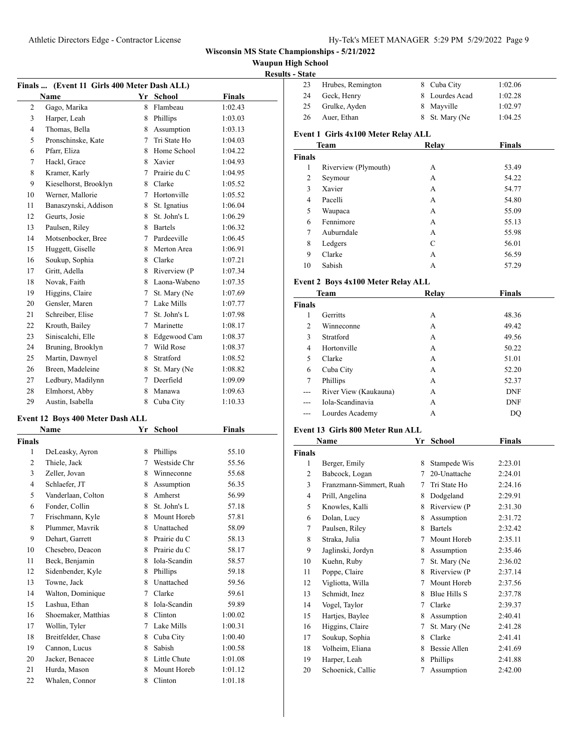**Waupun High School**

| <b>Results - State</b> |  |
|------------------------|--|

| <b>Finals</b> | (Event 11 Girls 400 Meter Dash ALL) |             |                | IACS          |
|---------------|-------------------------------------|-------------|----------------|---------------|
|               | Name                                |             | Yr School      | <b>Finals</b> |
| 2             | Gago, Marika                        | 8.          | Flambeau       | 1:02.43       |
| 3             | Harper, Leah                        |             | 8 Phillips     | 1:03.03       |
| 4             | Thomas, Bella                       |             | 8 Assumption   | 1:03.13       |
| 5             | Pronschinske, Kate                  | $7^{\circ}$ | Tri State Ho   | 1:04.03       |
| 6             | Pfarr, Eliza                        |             | 8 Home School  | 1:04.22       |
| 7             | Hackl, Grace                        |             | 8 Xavier       | 1:04.93       |
| 8             | Kramer, Karly                       |             | 7 Prairie du C | 1:04.95       |
| 9             | Kieselhorst, Brooklyn               |             | 8 Clarke       | 1:05.52       |
| 10            | Werner, Mallorie                    |             | 7 Hortonville  | 1:05.52       |
| 11            | Banaszynski, Addison                |             | 8 St. Ignatius | 1:06.04       |
| 12            | Geurts, Josie                       |             | 8 St. John's L | 1:06.29       |
| 13            | Paulsen, Riley                      |             | 8 Bartels      | 1:06.32       |
| 14            | Motsenbocker, Bree                  |             | 7 Pardeeville  | 1:06.45       |
| 15            | Huggett, Giselle                    |             | 8 Merton Area  | 1:06.91       |
| 16            | Soukup, Sophia                      |             | 8 Clarke       | 1:07.21       |
| 17            | Gritt, Adella                       | 8           | Riverview (P   | 1:07.34       |
| 18            | Novak. Faith                        |             | 8 Laona-Wabeno | 1:07.35       |
| 19            | Higgins, Claire                     | $7^{\circ}$ | St. Mary (Ne   | 1:07.69       |
| 20            | Gensler, Maren                      |             | 7 Lake Mills   | 1:07.77       |
| 21            | Schreiber, Elise                    |             | 7 St. John's L | 1:07.98       |
| 22            | Krouth, Bailey                      |             | 7 Marinette    | 1:08.17       |
| 23            | Siniscalchi, Elle                   |             | 8 Edgewood Cam | 1:08.37       |
| 24            |                                     |             | 7 Wild Rose    |               |
|               | Bruning, Brooklyn                   |             | 8 Stratford    | 1:08.37       |
| 25<br>26      | Martin, Dawnyel                     |             |                | 1:08.52       |
|               | Breen, Madeleine                    | 8           | St. Mary (Ne   | 1:08.82       |
| 27            | Ledbury, Madilynn                   | 7           | Deerfield      | 1:09.09       |
| 28            | Elmhorst, Abby                      | 8           | Manawa         | 1:09.63       |
| 29            | Austin, Isabella                    | 8           | Cuba City      | 1:10.33       |
|               | Event 12 Boys 400 Meter Dash ALL    |             |                |               |
|               | Name                                | Yr          | <b>School</b>  | <b>Finals</b> |
| <b>Finals</b> |                                     |             |                |               |
| 1             | DeLeasky, Ayron                     |             | 8 Phillips     | 55.10         |
| 2             | Thiele, Jack                        |             | 7 Westside Chr | 55.56         |
| 3             | Zeller, Jovan                       |             | 8 Winneconne   | 55.68         |
| 4             | Schlaefer, JT                       | 8           | Assumption     | 56.35         |
| 5             | Vanderlaan, Colton                  | 8           | Amherst        | 56.99         |
| 6             | Fonder, Collin                      | 8           | St. John's L   | 57.18         |
| 7             | Frischmann, Kyle                    | 8           | Mount Horeb    | 57.81         |
| 8             | Plummer, Mavrik                     | 8.          | Unattached     | 58.09         |
| 9             | Dehart, Garrett                     | 8           | Prairie du C   | 58.13         |
| 10            | Chesebro, Deacon                    | 8           | Prairie du C   | 58.17         |
| 11            | Beck, Benjamin                      | 8           | Iola-Scandin   | 58.57         |
| 12            | Sidenbender, Kyle                   | 8           | Phillips       | 59.18         |
| 13            | Towne, Jack                         | 8           | Unattached     | 59.56         |
| 14            | Walton, Dominique                   | 7           | Clarke         | 59.61         |
| 15            | Lashua, Ethan                       |             | 8 Iola-Scandin | 59.89         |
| 16            | Shoemaker, Matthias                 |             | 8 Clinton      | 1:00.02       |
| 17            | Wollin, Tyler                       | 7           | Lake Mills     | 1:00.31       |
| 18            | Breitfelder, Chase                  | 8           | Cuba City      | 1:00.40       |
| 19            | Cannon, Lucus                       | 8           | Sabish         | 1:00.58       |
| 20            | Jacker, Benacee                     | 8           | Little Chute   | 1:01.08       |
| 21            | Hurda, Mason                        | 8           | Mount Horeb    | 1:01.12       |
| 22            | Whalen, Connor                      | 8           | Clinton        | 1:01.18       |

| s - State                     |                                     |                 |                |                |  |
|-------------------------------|-------------------------------------|-----------------|----------------|----------------|--|
| 23                            | Hrubes, Remington                   |                 | 8 Cuba City    | 1:02.06        |  |
| 24                            | Geck, Henry                         |                 | 8 Lourdes Acad | 1:02.28        |  |
| 25                            | Grulke, Ayden                       |                 | 8 Mayville     | 1:02.97        |  |
| 26                            | Auer, Ethan                         |                 | 8 St. Mary (Ne | 1:04.25        |  |
|                               |                                     |                 |                |                |  |
|                               | Event 1 Girls 4x100 Meter Relay ALL |                 |                |                |  |
|                               | Team                                |                 | Relay          | Finals         |  |
| <b>Finals</b><br>$\mathbf{1}$ |                                     |                 |                |                |  |
| 2                             | Riverview (Plymouth)                |                 | A<br>A         | 53.49<br>54.22 |  |
| 3                             | Seymour<br>Xavier                   |                 | A              | 54.77          |  |
| 4                             | Pacelli                             |                 | A              | 54.80          |  |
| 5                             | Waupaca                             |                 | А              | 55.09          |  |
| 6                             | Fennimore                           |                 | A              | 55.13          |  |
| 7                             | Auburndale                          |                 | A              | 55.98          |  |
| 8                             | Ledgers                             |                 | C              | 56.01          |  |
| 9                             | Clarke                              |                 | A              | 56.59          |  |
| 10                            | Sabish                              |                 | A              | 57.29          |  |
|                               |                                     |                 |                |                |  |
|                               | Event 2 Boys 4x100 Meter Relay ALL  |                 |                |                |  |
|                               | Team                                |                 | Relay          | <b>Finals</b>  |  |
| <b>Finals</b>                 |                                     |                 |                |                |  |
| $\mathbf{1}$                  | Gerritts                            |                 | А              | 48.36          |  |
| 2                             | Winneconne                          |                 | A              | 49.42          |  |
| 3                             | Stratford                           |                 | A              | 49.56          |  |
| 4                             | Hortonville                         |                 | A              | 50.22          |  |
| 5                             | Clarke                              |                 | А              | 51.01          |  |
| 6                             | Cuba City                           |                 | A              | 52.20          |  |
| 7                             | Phillips                            |                 | A              | 52.37          |  |
| ---                           | River View (Kaukauna)               |                 | A              | <b>DNF</b>     |  |
| $---$                         | Iola-Scandinavia                    |                 | A              | <b>DNF</b>     |  |
| ---                           | Lourdes Academy                     |                 | A              | DQ             |  |
|                               | Event 13 Girls 800 Meter Run ALL    |                 |                |                |  |
|                               | Name                                | Yr              | <b>School</b>  | <b>Finals</b>  |  |
| <b>Finals</b>                 |                                     |                 |                |                |  |
| $\mathbf{1}$                  | Berger, Emily                       | 8               | Stampede Wis   | 2:23.01        |  |
| 2                             | Babcock, Logan                      | $7\phantom{.0}$ | 20-Unattache   | 2:24.01        |  |
| 3                             | Franzmann-Simmert, Ruah             |                 | 7 Tri State Ho | 2:24.16        |  |
| 4                             | Prill, Angelina                     | 8               | Dodgeland      | 2:29.91        |  |
| 5                             | Knowles, Kalli                      | 8               | Riverview (P   | 2:31.30        |  |
| 6                             | Dolan, Lucy                         | 8               | Assumption     | 2:31.72        |  |
| 7                             | Paulsen, Riley                      | 8               | <b>Bartels</b> | 2:32.42        |  |
| 8                             | Straka, Julia                       | 7               | Mount Horeb    | 2:35.11        |  |
| 9                             | Jaglinski, Jordyn                   | 8               | Assumption     | 2:35.46        |  |
| 10                            | Kuehn, Ruby                         | 7               | St. Mary (Ne   | 2:36.02        |  |
| 11                            | Poppe, Claire                       | 8               | Riverview (P   | 2:37.14        |  |
| 12                            | Vigliotta, Willa                    | 7               | Mount Horeb    | 2:37.56        |  |
| 13                            | Schmidt, Inez                       | 8               | Blue Hills S   | 2:37.78        |  |
| 14                            | Vogel, Taylor                       | 7               | Clarke         | 2:39.37        |  |
| 15                            | Hartjes, Baylee                     | 8               | Assumption     | 2:40.41        |  |
| 16                            | Higgins, Claire                     | 7               | St. Mary (Ne   | 2:41.28        |  |
| 17                            | Soukup, Sophia                      | 8               | Clarke         | 2:41.41        |  |
| $18\,$                        | Volheim, Eliana                     | 8               | Bessie Allen   | 2:41.69        |  |
| 19                            | Harper, Leah                        | 8               | Phillips       | 2:41.88        |  |
| 20                            | Schoenick, Callie                   | 7               | Assumption     | 2:42.00        |  |
|                               |                                     |                 |                |                |  |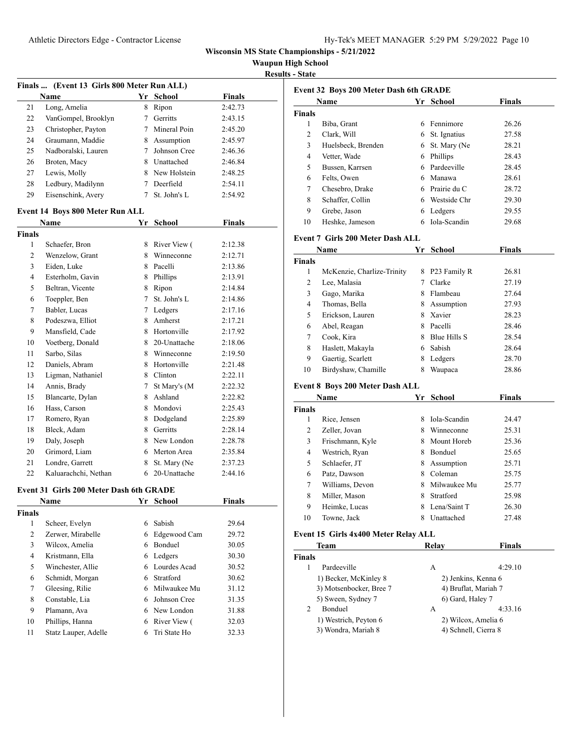Athletic Directors Edge - Contractor License Hy-Tek's Manager 5:29 PM 5/29/2022 Page 10:29 PM 5/29/2022 Page 10:29

| Hy-Tek's MEET MANAGER 5:29 PM 5/29/2022 Page 10 |  |  |  |
|-------------------------------------------------|--|--|--|
|-------------------------------------------------|--|--|--|

**Wisconsin MS State Championships - 5/21/2022**

**Waupun High School**

**Results - State**

| Finals  (Event 13 Girls 800 Meter Run ALL) |                                                |                 |                |               |  |  |
|--------------------------------------------|------------------------------------------------|-----------------|----------------|---------------|--|--|
|                                            | Name                                           |                 | Yr School      | <b>Finals</b> |  |  |
| 21                                         | Long, Amelia                                   | 8               | Ripon          | 2:42.73       |  |  |
| 22                                         | VanGompel, Brooklyn                            | $7\overline{ }$ | Gerritts       | 2:43.15       |  |  |
| 23                                         | Christopher, Payton                            |                 | 7 Mineral Poin | 2:45.20       |  |  |
| 24                                         | Graumann, Maddie                               |                 | 8 Assumption   | 2:45.97       |  |  |
| 25                                         | Nadboralski, Lauren                            | $\tau$          | Johnson Cree   | 2:46.36       |  |  |
| 26                                         | Broten, Macy                                   |                 | 8 Unattached   | 2:46.84       |  |  |
| 27                                         | Lewis, Molly                                   |                 | 8 New Holstein | 2:48.25       |  |  |
| 28                                         | Ledbury, Madilynn                              |                 | 7 Deerfield    | 2:54.11       |  |  |
| 29                                         | Eisenschink, Avery                             | 7               | St. John's L   | 2:54.92       |  |  |
|                                            | Event 14 Boys 800 Meter Run ALL                |                 |                |               |  |  |
|                                            | <b>Finals</b><br>Yr School<br>Name             |                 |                |               |  |  |
| <b>Finals</b>                              |                                                |                 |                |               |  |  |
| 1                                          | Schaefer, Bron                                 |                 | 8 River View ( | 2:12.38       |  |  |
| 2                                          | Wenzelow, Grant                                |                 | 8 Winneconne   | 2:12.71       |  |  |
| 3                                          | Eiden, Luke                                    |                 | 8 Pacelli      | 2:13.86       |  |  |
| 4                                          | Esterholm, Gavin                               |                 | 8 Phillips     | 2:13.91       |  |  |
| 5                                          | Beltran, Vicente                               | 8               | Ripon          | 2:14.84       |  |  |
| 6                                          | Toeppler, Ben                                  | 7               | St. John's L   | 2:14.86       |  |  |
| 7                                          | Babler, Lucas                                  | $7^{\circ}$     | Ledgers        | 2:17.16       |  |  |
| 8                                          | Podeszwa, Elliot                               | 8               | Amherst        | 2:17.21       |  |  |
| 9                                          | Mansfield, Cade                                |                 | 8 Hortonville  | 2:17.92       |  |  |
| 10                                         | Voetberg, Donald                               | 8               | 20-Unattache   | 2:18.06       |  |  |
| 11                                         | Sarbo, Silas                                   |                 | 8 Winneconne   | 2:19.50       |  |  |
| 12                                         | Daniels, Abram                                 | 8               | Hortonville    | 2:21.48       |  |  |
| 13                                         | Ligman, Nathaniel                              |                 | 8 Clinton      | 2:22.11       |  |  |
| 14                                         | Annis, Brady                                   | 7               | St Mary's (M   | 2:22.32       |  |  |
| 15                                         | Blancarte, Dylan                               |                 | 8 Ashland      | 2:22.82       |  |  |
| 16                                         | Hass, Carson                                   |                 | 8 Mondovi      | 2:25.43       |  |  |
| 17                                         | Romero, Ryan                                   | 8               | Dodgeland      | 2:25.89       |  |  |
| 18                                         | Bleck, Adam                                    |                 | 8 Gerritts     | 2:28.14       |  |  |
| 19                                         | Daly, Joseph                                   |                 | 8 New London   | 2:28.78       |  |  |
| 20                                         | Grimord, Liam                                  |                 | 6 Merton Area  | 2:35.84       |  |  |
| 21                                         | Londre, Garrett                                | 8               | St. Mary (Ne   | 2:37.23       |  |  |
| 22                                         | Kaluarachchi, Nethan                           |                 | 6 20-Unattache | 2:44.16       |  |  |
|                                            | <b>Event 31 Girls 200 Meter Dash 6th GRADE</b> |                 |                |               |  |  |
|                                            | Name                                           |                 | Yr School      | <b>Finals</b> |  |  |
| <b>Finals</b>                              |                                                |                 |                |               |  |  |
| $\mathbf{1}$                               | Scheer, Evelyn                                 | 6               | Sabish         | 29.64         |  |  |
| $\overline{c}$                             | Zerwer, Mirabelle                              |                 | 6 Edgewood Cam | 29.72         |  |  |
| 3                                          | Wilcox, Amelia                                 |                 | 6 Bonduel      | 30.05         |  |  |
| $\overline{4}$                             | Kristmann, Ella                                |                 | 6 Ledgers      | 30.30         |  |  |
| 5                                          | Winchester, Allie                              |                 | 6 Lourdes Acad | 30.52         |  |  |
| 6                                          | Schmidt, Morgan                                | 6               | Stratford      | 30.62         |  |  |
| 7                                          | Gleesing, Rilie                                | 6               | Milwaukee Mu   | 31.12         |  |  |
| 8                                          | Constable, Lia                                 | 6               | Johnson Cree   | 31.35         |  |  |
| 9                                          | Plamann, Ava                                   |                 | 6 New London   | 31.88         |  |  |
| 10                                         | Phillips, Hanna                                |                 | 6 River View ( | 32.03         |  |  |
| 11                                         | Statz Lauper, Adelle                           | 6               | Tri State Ho   | 32.33         |  |  |

|               | Event 32 Boys 200 Meter Dash 6th GRADE  |    |                      |               |  |
|---------------|-----------------------------------------|----|----------------------|---------------|--|
|               | Name                                    |    | Yr School            | Finals        |  |
| Finals        |                                         |    |                      |               |  |
| 1             | Biba, Grant                             |    | 6 Fennimore          | 26.26         |  |
| 2             | Clark, Will                             | 6  | St. Ignatius         | 27.58         |  |
| 3             | Huelsbeck, Brenden                      |    | 6 St. Mary (Ne       | 28.21         |  |
| 4             | Vetter, Wade                            |    | 6 Phillips           | 28.43         |  |
| 5             | Bussen, Karrsen                         |    | 6 Pardeeville        | 28.45         |  |
| 6             | Felts, Owen                             |    | 6 Manawa             | 28.61         |  |
| 7             | Chesebro, Drake                         |    | 6 Prairie du C       | 28.72         |  |
| 8             | Schaffer, Collin                        |    | 6 Westside Chr       | 29.30         |  |
| 9             | Grebe, Jason                            |    | 6 Ledgers            | 29.55         |  |
| 10            | Heshke, Jameson                         |    | 6 Iola-Scandin       | 29.68         |  |
|               | <b>Event 7 Girls 200 Meter Dash ALL</b> |    |                      |               |  |
|               | Name                                    |    | Yr School            | Finals        |  |
| Finals        |                                         |    |                      |               |  |
| 1             | McKenzie, Charlize-Trinity              |    | 8 P23 Family R       | 26.81         |  |
| 2             | Lee, Malasia                            | 7  | Clarke               | 27.19         |  |
| 3             | Gago, Marika                            |    | 8 Flambeau           | 27.64         |  |
| 4             | Thomas, Bella                           |    | 8 Assumption         | 27.93         |  |
| 5             | Erickson, Lauren                        |    | 8 Xavier             | 28.23         |  |
| 6             | Abel, Reagan                            |    | 8 Pacelli            | 28.46         |  |
| 7             | Cook, Kira                              |    | 8 Blue Hills S       | 28.54         |  |
| 8             | Haslett, Makayla                        |    | 6 Sabish             | 28.64         |  |
| 9             | Gaertig, Scarlett                       |    | 8 Ledgers            | 28.70         |  |
| 10            | Birdyshaw, Chamille                     | 8  | Waupaca              | 28.86         |  |
|               | Event 8 Boys 200 Meter Dash ALL         |    |                      |               |  |
|               | Name                                    |    | Yr School            | <b>Finals</b> |  |
| Finals        |                                         |    |                      |               |  |
| 1             | Rice, Jensen                            |    | 8 Iola-Scandin       | 24.47         |  |
| 2             | Zeller, Jovan                           |    | 8 Winneconne         | 25.31         |  |
| 3             | Frischmann, Kyle                        |    | 8 Mount Horeb        | 25.36         |  |
| 4             | Westrich, Ryan                          |    | 8 Bonduel            | 25.65         |  |
| 5             | Schlaefer, JT                           |    | 8 Assumption         | 25.71         |  |
| 6             | Patz, Dawson                            |    | 8 Coleman            | 25.75         |  |
| 7             | Williams, Devon                         |    | 8 Milwaukee Mu       | 25.77         |  |
| 8             | Miller, Mason                           |    | 8 Stratford          | 25.98         |  |
| 9             | Heimke, Lucas                           |    | 8 Lena/Saint T       | 26.30         |  |
| 10            | Towne, Jack                             | 8. | Unattached           | 27.48         |  |
|               | Event 15 Girls 4x400 Meter Relay ALL    |    |                      |               |  |
|               | Team                                    |    | Relay                | <b>Finals</b> |  |
| <b>Finals</b> |                                         |    |                      |               |  |
| 1             | Pardeeville                             |    | А                    | 4:29.10       |  |
|               | 1) Becker, McKinley 8                   |    | 2) Jenkins, Kenna 6  |               |  |
|               | 3) Motsenbocker, Bree 7                 |    | 4) Bruflat, Mariah 7 |               |  |
|               | 5) Sween, Sydney 7                      |    | 6) Gard, Haley 7     |               |  |
| 2             | Bonduel                                 |    | А                    | 4:33.16       |  |
|               | 1) Westrich, Peyton 6                   |    | 2) Wilcox, Amelia 6  |               |  |
|               | 3) Wondra, Mariah 8                     |    | 4) Schnell, Cierra 8 |               |  |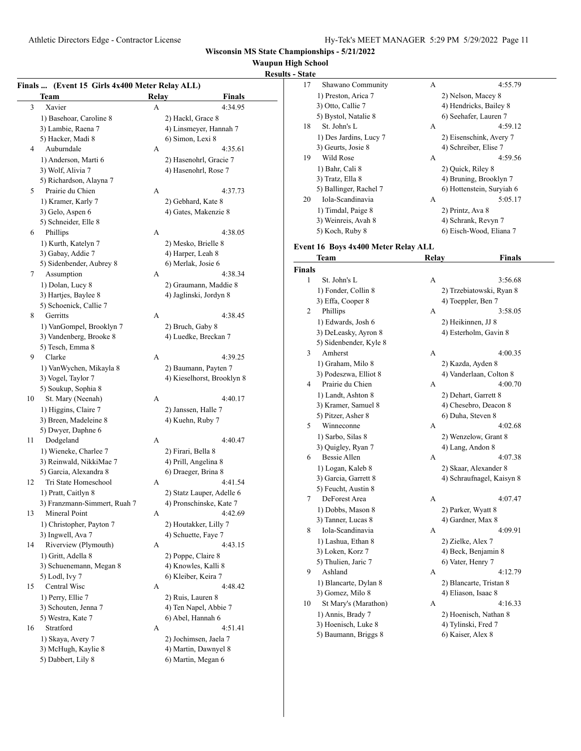## **Waupun High School**

| <b>Results - State</b> |  |
|------------------------|--|
|                        |  |

| Finals  (Event 15 Girls 4x400 Meter Relay ALL) |                              |              |                                         |  |
|------------------------------------------------|------------------------------|--------------|-----------------------------------------|--|
|                                                | Team                         | <b>Relay</b> | <b>Finals</b>                           |  |
| 3                                              | Xavier                       | А            | 4:34.95                                 |  |
|                                                | 1) Basehoar, Caroline 8      |              | 2) Hackl, Grace 8                       |  |
|                                                | 3) Lambie, Raena 7           |              | 4) Linsmeyer, Hannah 7                  |  |
|                                                | 5) Hacker, Madi 8            |              | 6) Simon, Lexi 8                        |  |
| 4                                              | Auburndale                   | А            | 4:35.61                                 |  |
|                                                | 1) Anderson, Marti 6         |              | 2) Hasenohrl, Gracie 7                  |  |
|                                                | 3) Wolf, Alivia 7            |              | 4) Hasenohrl, Rose 7                    |  |
|                                                | 5) Richardson, Alayna 7      |              |                                         |  |
| 5                                              | Prairie du Chien             | А            | 4:37.73                                 |  |
|                                                | 1) Kramer, Karly 7           |              | 2) Gebhard, Kate 8                      |  |
|                                                | 3) Gelo, Aspen 6             |              | 4) Gates, Makenzie 8                    |  |
|                                                | 5) Schneider, Elle 8         |              |                                         |  |
| 6                                              | Phillips                     | А            | 4:38.05                                 |  |
|                                                |                              |              |                                         |  |
|                                                | 1) Kurth, Katelyn 7          |              | 2) Mesko, Brielle 8                     |  |
|                                                | 3) Gabay, Addie 7            |              | 4) Harper, Leah 8<br>6) Merlak, Josie 6 |  |
|                                                | 5) Sidenbender, Aubrey 8     |              |                                         |  |
| 7                                              | Assumption                   | А            | 4:38.34                                 |  |
|                                                | 1) Dolan, Lucy 8             |              | 2) Graumann, Maddie 8                   |  |
|                                                | 3) Hartjes, Baylee 8         |              | 4) Jaglinski, Jordyn 8                  |  |
|                                                | 5) Schoenick, Callie 7       |              |                                         |  |
| 8                                              | Gerritts                     | А            | 4:38.45                                 |  |
|                                                | 1) VanGompel, Brooklyn 7     |              | 2) Bruch, Gaby 8                        |  |
|                                                | 3) Vandenberg, Brooke 8      |              | 4) Luedke, Breckan 7                    |  |
|                                                | 5) Tesch, Emma 8             |              |                                         |  |
| 9                                              | Clarke                       | А            | 4:39.25                                 |  |
|                                                | 1) VanWychen, Mikayla 8      |              | 2) Baumann, Payten 7                    |  |
|                                                | 3) Vogel, Taylor 7           |              | 4) Kieselhorst, Brooklyn 8              |  |
|                                                | 5) Soukup, Sophia 8          |              |                                         |  |
| 10                                             | St. Mary (Neenah)            | А            | 4:40.17                                 |  |
|                                                | 1) Higgins, Claire 7         |              | 2) Janssen, Halle 7                     |  |
|                                                | 3) Breen, Madeleine 8        |              | 4) Kuehn, Ruby 7                        |  |
|                                                | 5) Dwyer, Daphne 6           |              |                                         |  |
| 11                                             | Dodgeland                    | А            | 4:40.47                                 |  |
|                                                | 1) Wieneke, Charlee 7        |              | 2) Firari, Bella 8                      |  |
|                                                | 3) Reinwald, NikkiMae 7      |              | 4) Prill, Angelina 8                    |  |
|                                                | 5) Garcia, Alexandra 8       |              | 6) Draeger, Brina 8                     |  |
| 12                                             | Tri State Homeschool         | А            | 4:41.54                                 |  |
|                                                | 1) Pratt, Caitlyn 8          |              | 2) Statz Lauper, Adelle 6               |  |
|                                                | 3) Franzmann-Simmert, Ruah 7 |              | 4) Pronschinske, Kate 7                 |  |
| 13                                             | Mineral Point                | А            | 4:42.69                                 |  |
|                                                | 1) Christopher, Payton 7     |              | 2) Houtakker, Lilly 7                   |  |
|                                                | 3) Ingwell, Ava 7            |              | 4) Schuette, Faye 7                     |  |
| 14                                             | Riverview (Plymouth)         | А            | 4:43.15                                 |  |
|                                                | 1) Gritt, Adella 8           |              | 2) Poppe, Claire 8                      |  |
|                                                | 3) Schuenemann, Megan 8      |              | 4) Knowles, Kalli 8                     |  |
|                                                | 5) Lodl, Ivy 7               |              | 6) Kleiber, Keira 7                     |  |
| 15                                             | Central Wisc                 | А            | 4:48.42                                 |  |
|                                                | 1) Perry, Ellie 7            |              | 2) Ruis, Lauren 8                       |  |
|                                                | 3) Schouten, Jenna 7         |              | 4) Ten Napel, Abbie 7                   |  |
|                                                | 5) Westra, Kate 7            |              | 6) Abel, Hannah 6                       |  |
| 16                                             | Stratford                    | А            | 4:51.41                                 |  |
|                                                | 1) Skaya, Avery 7            |              | 2) Jochimsen, Jaela 7                   |  |
|                                                | 3) McHugh, Kaylie 8          |              | 4) Martin, Dawnyel 8                    |  |
|                                                | 5) Dabbert, Lily 8           |              | 6) Martin, Megan 6                      |  |
|                                                |                              |              |                                         |  |

| - State          |                                     |       |                           |
|------------------|-------------------------------------|-------|---------------------------|
| 17               | Shawano Community                   | А     | 4:55.79                   |
|                  | 1) Preston, Arica 7                 |       | 2) Nelson, Macey 8        |
|                  | 3) Otto, Callie 7                   |       | 4) Hendricks, Bailey 8    |
|                  | 5) Bystol, Natalie 8                |       | 6) Seehafer, Lauren 7     |
| 18               | St. John's L                        | А     | 4:59.12                   |
|                  | 1) Des Jardins, Lucy 7              |       | 2) Eisenschink, Avery 7   |
|                  | 3) Geurts, Josie 8                  |       | 4) Schreiber, Elise 7     |
| 19               | Wild Rose                           | А     | 4:59.56                   |
|                  |                                     |       |                           |
|                  | 1) Bahr, Cali 8                     |       | 2) Quick, Riley 8         |
|                  | 3) Tratz, Ella 8                    |       | 4) Bruning, Brooklyn 7    |
|                  | 5) Ballinger, Rachel 7              |       | 6) Hottenstein, Suryiah 6 |
| 20               | Iola-Scandinavia                    | А     | 5:05.17                   |
|                  | 1) Timdal, Paige 8                  |       | 2) Printz, Ava 8          |
|                  | 3) Weinreis, Avah 8                 |       | 4) Schrank, Revyn 7       |
|                  | 5) Koch, Ruby 8                     |       | 6) Eisch-Wood, Eliana 7   |
|                  | Event 16 Boys 4x400 Meter Relay ALL |       |                           |
|                  | Team                                | Relay | <b>Finals</b>             |
| Finals           |                                     |       |                           |
| 1                | St. John's L                        | A     | 3:56.68                   |
|                  | 1) Fonder, Collin 8                 |       | 2) Trzebiatowski, Ryan 8  |
|                  | 3) Effa, Cooper 8                   |       | 4) Toeppler, Ben 7        |
| 2                | Phillips                            | А     | 3:58.05                   |
|                  | 1) Edwards, Josh 6                  |       | 2) Heikinnen, JJ 8        |
|                  | 3) DeLeasky, Ayron 8                |       | 4) Esterholm, Gavin 8     |
|                  | 5) Sidenbender, Kyle 8              |       |                           |
| 3                | Amherst                             | A     | 4:00.35                   |
|                  | 1) Graham, Milo 8                   |       | 2) Kazda, Ayden 8         |
|                  | 3) Podeszwa, Elliot 8               |       | 4) Vanderlaan, Colton 8   |
| 4                | Prairie du Chien                    | А     | 4:00.70                   |
|                  |                                     |       |                           |
|                  | 1) Landt, Ashton 8                  |       | 2) Dehart, Garrett 8      |
|                  | 3) Kramer, Samuel 8                 |       | 4) Chesebro, Deacon 8     |
|                  | 5) Pitzer, Asher 8                  |       | 6) Duha, Steven 8         |
| 5                | Winneconne                          | А     | 4:02.68                   |
|                  | 1) Sarbo, Silas 8                   |       | 2) Wenzelow, Grant 8      |
|                  | 3) Quigley, Ryan 7                  |       | 4) Lang, Andon 8          |
| 6                | Bessie Allen                        | А     | 4:07.38                   |
|                  | 1) Logan, Kaleb 8                   |       | 2) Skaar, Alexander 8     |
|                  | 3) Garcia, Garrett 8                |       | 4) Schraufnagel, Kaisyn 8 |
|                  | 5) Feucht, Austin 8                 |       |                           |
| $\boldsymbol{7}$ | DeForest Area                       | А     | 4:07.47                   |
|                  | 1) Dobbs, Mason 8                   |       | 2) Parker, Wyatt 8        |
|                  | 3) Tanner, Lucas 8                  |       | 4) Gardner, Max 8         |
| 8                | Iola-Scandinavia                    | А     | 4:09.91                   |
|                  | 1) Lashua, Ethan 8                  |       | 2) Zielke, Alex 7         |
|                  | 3) Loken, Korz 7                    |       | 4) Beck, Benjamin 8       |
|                  | 5) Thulien, Jaric 7                 |       | 6) Vater, Henry 7         |
| 9                | Ashland                             | А     | 4:12.79                   |
|                  | 1) Blancarte, Dylan 8               |       | 2) Blancarte, Tristan 8   |
|                  | 3) Gomez, Milo 8                    |       | 4) Eliason, Isaac 8       |
| 10               | St Mary's (Marathon)                | А     | 4:16.33                   |
|                  | 1) Annis, Brady 7                   |       | 2) Hoenisch, Nathan 8     |
|                  | 3) Hoenisch, Luke 8                 |       | 4) Tylinski, Fred 7       |
|                  | 5) Baumann, Briggs 8                |       | 6) Kaiser, Alex 8         |
|                  |                                     |       |                           |
|                  |                                     |       |                           |
|                  |                                     |       |                           |
|                  |                                     |       |                           |
|                  |                                     |       |                           |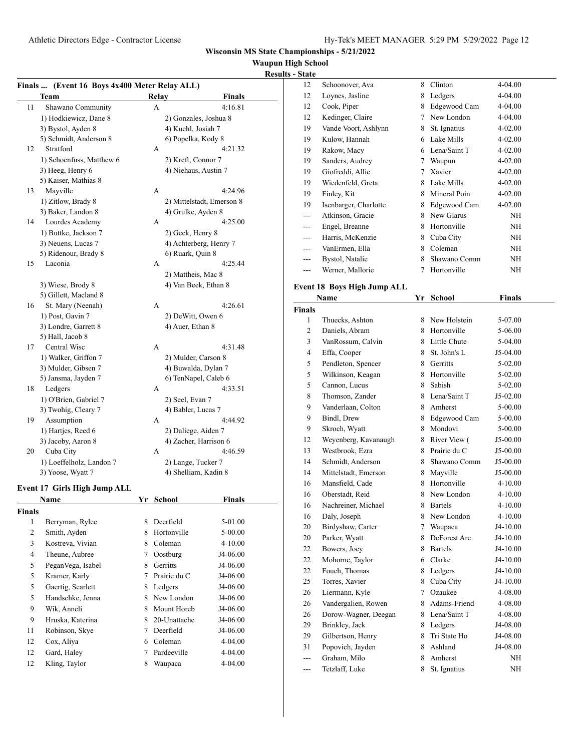## **Waupun High School**

#### **Results - State**

 $\mathcal{L}$ 

|                | Finals  (Event 16 Boys 4x400 Meter Relay ALL) |    |       |                           |               |  |
|----------------|-----------------------------------------------|----|-------|---------------------------|---------------|--|
|                | Team                                          |    | Relay |                           | <b>Finals</b> |  |
| 11             | Shawano Community                             |    | А     |                           | 4:16.81       |  |
|                | 1) Hodkiewicz, Dane 8                         |    |       | 2) Gonzales, Joshua 8     |               |  |
|                | 3) Bystol, Ayden 8                            |    |       | 4) Kuehl, Josiah 7        |               |  |
|                | 5) Schmidt, Anderson 8                        |    |       | 6) Popelka, Kody 8        |               |  |
| 12             | Stratford                                     |    | A     |                           | 4:21.32       |  |
|                | 1) Schoenfuss, Matthew 6                      |    |       | 2) Kreft, Connor 7        |               |  |
|                | 3) Heeg, Henry 6                              |    |       | 4) Niehaus, Austin 7      |               |  |
|                | 5) Kaiser, Mathias 8                          |    |       |                           |               |  |
| 13             | Mayville                                      |    | A     |                           | 4:24.96       |  |
|                | 1) Zitlow, Brady 8                            |    |       | 2) Mittelstadt, Emerson 8 |               |  |
|                | 3) Baker, Landon 8                            |    |       | 4) Grulke, Ayden 8        |               |  |
| 14             | Lourdes Academy                               |    | А     |                           | 4:25.00       |  |
|                | 1) Buttke, Jackson 7                          |    |       | 2) Geck, Henry 8          |               |  |
|                | 3) Neuens, Lucas 7                            |    |       | 4) Achterberg, Henry 7    |               |  |
|                | 5) Ridenour, Brady 8                          |    |       | 6) Ruark, Quin 8          |               |  |
| 15             | Laconia                                       |    | А     |                           | 4:25.44       |  |
|                |                                               |    |       | 2) Mattheis, Mac 8        |               |  |
|                | 3) Wiese, Brody 8                             |    |       | 4) Van Beek, Ethan 8      |               |  |
|                | 5) Gillett, Macland 8                         |    |       |                           |               |  |
| 16             | St. Mary (Neenah)                             |    | А     |                           | 4:26.61       |  |
|                | 1) Post, Gavin 7                              |    |       | 2) DeWitt, Owen 6         |               |  |
|                | 3) Londre, Garrett 8                          |    |       | 4) Auer, Ethan 8          |               |  |
|                | 5) Hall, Jacob 8                              |    |       |                           |               |  |
| 17             | Central Wisc                                  |    | А     |                           | 4:31.48       |  |
|                | 1) Walker, Griffon 7                          |    |       | 2) Mulder, Carson 8       |               |  |
|                | 3) Mulder, Gibsen 7                           |    |       | 4) Buwalda, Dylan 7       |               |  |
|                | 5) Jansma, Jayden 7                           |    |       | 6) TenNapel, Caleb 6      |               |  |
| 18             | Ledgers                                       |    | А     |                           | 4:33.51       |  |
|                | 1) O'Brien, Gabriel 7                         |    |       | 2) Seel, Evan 7           |               |  |
|                | 3) Twohig, Cleary 7                           |    |       | 4) Babler, Lucas 7        |               |  |
| 19             | Assumption                                    |    | A     |                           | 4:44.92       |  |
|                | 1) Hartjes, Reed 6                            |    |       | 2) Daliege, Aiden 7       |               |  |
|                | 3) Jacoby, Aaron 8                            |    |       | 4) Zacher, Harrison 6     |               |  |
| 20             | Cuba City                                     |    | A     |                           | 4:46.59       |  |
|                | 1) Loeffelholz, Landon 7                      |    |       | 2) Lange, Tucker 7        |               |  |
|                | 3) Yoose, Wyatt 7                             |    |       | 4) Shelliam, Kadin 8      |               |  |
|                | <b>Event 17 Girls High Jump ALL</b>           |    |       |                           |               |  |
|                | Name                                          | Yr |       | School                    | Finals        |  |
| <b>Finals</b>  |                                               |    |       |                           |               |  |
| 1              | Berryman, Rylee                               | 8  |       | Deerfield                 | 5-01.00       |  |
| $\overline{c}$ | Smith, Ayden                                  | 8  |       | Hortonville               | 5-00.00       |  |
| 3              | Kostreva, Vivian                              |    |       | 8 Coleman                 | $4 - 10.00$   |  |
| $\overline{4}$ | Theune, Aubree                                | 7  |       | Oostburg                  | J4-06.00      |  |
| 5              | PeganVega, Isabel                             | 8  |       | Gerritts                  | J4-06.00      |  |
| 5              | Kramer, Karly                                 | 7  |       | Prairie du C              | J4-06.00      |  |
| 5              | Gaertig, Scarlett                             | 8  |       | Ledgers                   | J4-06.00      |  |
| 5              | Handschke, Jenna                              | 8  |       | New London                | J4-06.00      |  |
| 9              | Wik, Anneli                                   | 8  |       | Mount Horeb               | J4-06.00      |  |
| 9              | Hruska, Katerina                              | 8  |       | 20-Unattache              | J4-06.00      |  |
| 11             | Robinson, Skye                                | 7  |       | Deerfield                 | J4-06.00      |  |
| 12             | Cox, Aliya                                    | 6  |       | Coleman                   | 4-04.00       |  |

12 Gard, Haley 7 Pardeeville 4-04.00 12 Kling, Taylor 8 Waupaca 4-04.00

| 12  | Schoonover, Ava       | 8 | Clinton      | 4-04.00 |
|-----|-----------------------|---|--------------|---------|
| 12  | Loynes, Jasline       | 8 | Ledgers      | 4-04.00 |
| 12  | Cook, Piper           | 8 | Edgewood Cam | 4-04.00 |
| 12  | Kedinger, Claire      | 7 | New London   | 4-04.00 |
| 19  | Vande Voort, Ashlynn  | 8 | St. Ignatius | 4-02.00 |
| 19  | Kulow, Hannah         | 6 | Lake Mills   | 4-02.00 |
| 19  | Rakow, Macy           | 6 | Lena/Saint T | 4-02.00 |
| 19  | Sanders, Audrey       | 7 | Waupun       | 4-02.00 |
| 19  | Giofreddi, Allie      | 7 | Xavier       | 4-02.00 |
| 19  | Wiedenfeld, Greta     | 8 | Lake Mills   | 4-02.00 |
| 19  | Finley, Kit           | 8 | Mineral Poin | 4-02.00 |
| 19  | Isenbarger, Charlotte | 8 | Edgewood Cam | 4-02.00 |
| --- | Atkinson, Gracie      | 8 | New Glarus   | NH      |
| --- | Engel, Breanne        | 8 | Hortonville  | NH      |
|     | Harris, McKenzie      | 8 | Cuba City    | NH      |
|     | VanErmen, Ella        | 8 | Coleman      | NH      |
| --- | Bystol, Natalie       | 8 | Shawano Comm | NH      |
|     | Werner, Mallorie      | 7 | Hortonville  | ΝH      |

#### **Event 18 Boys High Jump ALL Name Yr School Finals**

|                | гуаше                | 11          | эспоог         | гшаіз       |  |
|----------------|----------------------|-------------|----------------|-------------|--|
| <b>Finals</b>  |                      |             |                |             |  |
| 1              | Thuecks, Ashton      |             | 8 New Holstein | 5-07.00     |  |
| $\overline{2}$ | Daniels, Abram       | 8.          | Hortonville    | 5-06.00     |  |
| 3              | VanRossum, Calvin    |             | 8 Little Chute | 5-04.00     |  |
| $\overline{4}$ | Effa, Cooper         | 8           | St. John's L   | $J5-04.00$  |  |
| 5              | Pendleton, Spencer   | 8           | Gerritts       | 5-02.00     |  |
| 5              | Wilkinson, Keagan    | 8.          | Hortonville    | 5-02.00     |  |
| 5              | Cannon, Lucus        | 8           | Sabish         | 5-02.00     |  |
| 8              | Thomson, Zander      |             | 8 Lena/Saint T | J5-02.00    |  |
| 9              | Vanderlaan, Colton   | 8           | Amherst        | 5-00.00     |  |
| 9              | Bindl, Drew          |             | 8 Edgewood Cam | 5-00.00     |  |
| 9              | Skroch, Wyatt        | 8           | Mondovi        | 5-00.00     |  |
| 12             | Weyenberg, Kavanaugh | 8           | River View (   | J5-00.00    |  |
| 13             | Westbrook, Ezra      | 8.          | Prairie du C   | J5-00.00    |  |
| 14             | Schmidt, Anderson    | 8           | Shawano Comm   | J5-00.00    |  |
| 14             | Mittelstadt, Emerson | 8           | Mayville       | $J5-00.00$  |  |
| 16             | Mansfield, Cade      |             | 8 Hortonville  | $4 - 10.00$ |  |
| 16             | Oberstadt, Reid      | 8           | New London     | 4-10.00     |  |
| 16             | Nachreiner, Michael  | 8           | <b>Bartels</b> | 4-10.00     |  |
| 16             | Daly, Joseph         | 8           | New London     | $4 - 10.00$ |  |
| 20             | Birdyshaw, Carter    | 7           | Waupaca        | J4-10.00    |  |
| 20             | Parker, Wyatt        | 8           | DeForest Are   | J4-10.00    |  |
| 22             | Bowers, Joey         | 8           | <b>Bartels</b> | J4-10.00    |  |
| 22             | Mohorne, Taylor      | 6           | Clarke         | $J4-10.00$  |  |
| 22             | Fouch, Thomas        | 8           | Ledgers        | J4-10.00    |  |
| 25             | Torres, Xavier       | 8           | Cuba City      | J4-10.00    |  |
| 26             | Liermann, Kyle       | $7^{\circ}$ | Ozaukee        | 4-08.00     |  |
| 26             | Vandergalien, Rowen  | 8           | Adams-Friend   | 4-08.00     |  |
| 26             | Dorow-Wagner, Deegan |             | 8 Lena/Saint T | 4-08.00     |  |
| 29             | Brinkley, Jack       | 8           | Ledgers        | J4-08.00    |  |
| 29             | Gilbertson, Henry    | 8           | Tri State Ho   | J4-08.00    |  |
| 31             | Popovich, Jayden     | 8           | Ashland        | J4-08.00    |  |
| ---            | Graham, Milo         | 8           | Amherst        | NH          |  |
| ---            | Tetzlaff, Luke       | 8           | St. Ignatius   | NΗ          |  |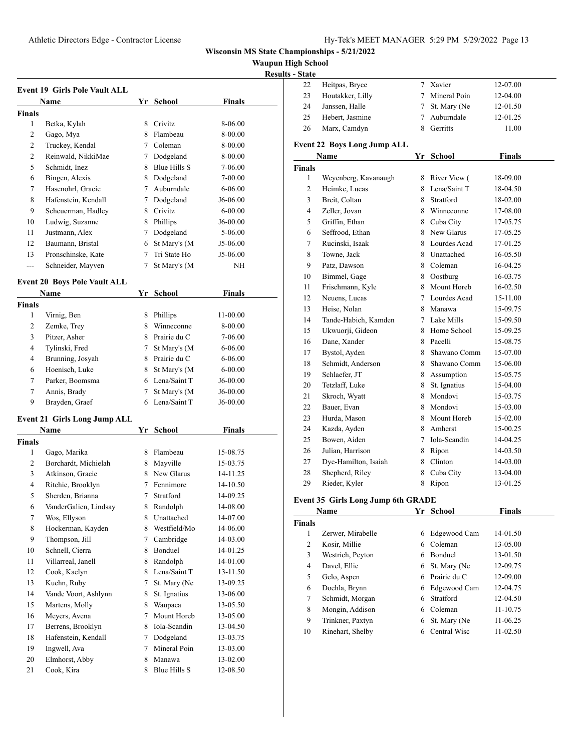**Waupun High School**

|  | <b>Results - State</b> |
|--|------------------------|
|  |                        |

|                    | <b>Event 19 Girls Pole Vault ALL</b>        |             |                            |               |
|--------------------|---------------------------------------------|-------------|----------------------------|---------------|
|                    | Name                                        |             | Yr School                  | Finals        |
| <b>Finals</b>      |                                             |             |                            |               |
| 1                  | Betka, Kylah                                | 8.          | Crivitz                    | 8-06.00       |
| 2                  | Gago, Mya                                   |             | 8 Flambeau                 | 8-00.00       |
| $\overline{c}$     | Truckey, Kendal                             |             | 7 Coleman                  | 8-00.00       |
| 2                  | Reinwald, NikkiMae                          |             | 7 Dodgeland                | 8-00.00       |
| 5                  | Schmidt, Inez                               |             | 8 Blue Hills S             | 7-06.00       |
| 6                  | Bingen, Alexis                              |             | 8 Dodgeland                | 7-00.00       |
| 7                  | Hasenohrl, Gracie                           |             | 7 Auburndale               | $6 - 06.00$   |
| 8                  | Hafenstein, Kendall                         |             | 7 Dodgeland                | J6-06.00      |
| 9                  | Scheuerman, Hadley                          |             | 8 Crivitz                  | $6 - 00.00$   |
| 10                 | Ludwig, Suzanne                             |             | 8 Phillips                 | J6-00.00      |
| 11                 | Justmann, Alex                              | 7           | Dodgeland                  | 5-06.00       |
| 12                 | Baumann, Bristal                            |             | 6 St Mary's (M             | J5-06.00      |
| 13                 | Pronschinske, Kate                          | 7           | Tri State Ho               | J5-06.00      |
| $\overline{a}$     | Schneider, Mayven                           | 7           | St Mary's (M               | NH            |
|                    |                                             |             |                            |               |
|                    | <b>Event 20 Boys Pole Vault ALL</b>         |             |                            |               |
|                    | Name                                        |             | Yr School                  | <b>Finals</b> |
| <b>Finals</b>      |                                             |             |                            |               |
| 1                  | Virnig, Ben                                 |             | 8 Phillips                 | 11-00.00      |
| 2                  | Zemke, Trey                                 |             | 8 Winneconne               | 8-00.00       |
| 3                  | Pitzer, Asher                               |             | 8 Prairie du C             | 7-06.00       |
| 4                  | Tylinski, Fred                              |             | 7 St Mary's (M             | 6-06.00       |
| 4                  | Brunning, Josyah                            |             | 8 Prairie du C             | 6-06.00       |
| 6                  | Hoenisch, Luke                              |             | 8 St Mary's (M             | $6 - 00.00$   |
| 7                  | Parker, Boomsma                             |             | 6 Lena/Saint T             | J6-00.00      |
| 7                  | Annis, Brady                                | $7^{\circ}$ | St Mary's (M               | J6-00.00      |
| 9                  | Brayden, Graef                              | 6           | Lena/Saint T               | J6-00.00      |
|                    |                                             |             |                            |               |
|                    | <b>Event 21 Girls Long Jump ALL</b><br>Name |             |                            | Finals        |
|                    |                                             |             | Yr School                  |               |
| <b>Finals</b><br>1 |                                             |             | 8 Flambeau                 |               |
|                    | Gago, Marika                                |             |                            | 15-08.75      |
| 2<br>3             | Borchardt, Michielah<br>Atkinson, Gracie    |             | 8 Mayville<br>8 New Glarus | 15-03.75      |
|                    |                                             |             |                            | 14-11.25      |
| 4                  | Ritchie, Brooklyn                           |             | 7 Fennimore                | 14-10.50      |
| 5                  | Sherden, Brianna                            | 7           | Stratford                  | 14-09.25      |
| 6                  | VanderGalien, Lindsay                       | 8           | Randolph                   | 14-08.00      |
| 7                  | Wos, Ellyson                                | 8           | Unattached                 | 14-07.00      |
| 8                  | Hockerman, Kayden                           | 8           | Westfield/Mo               | 14-06.00      |
| 9                  | Thompson, Jill                              | 7           | Cambridge                  | 14-03.00      |
| 10                 | Schnell, Cierra                             | 8           | Bonduel                    | 14-01.25      |
| 11                 | Villarreal, Janell                          | 8           | Randolph                   | 14-01.00      |
| 12                 | Cook, Kaelyn                                | 8           | Lena/Saint T               | 13-11.50      |
| 13                 | Kuehn, Ruby                                 | 7           | St. Mary (Ne               | 13-09.25      |
| 14                 | Vande Voort, Ashlynn                        | 8           | St. Ignatius               | 13-06.00      |
| 15                 | Martens, Molly                              | 8           | Waupaca                    | 13-05.50      |
| 16                 | Meyers, Avena                               | 7           | Mount Horeb                | 13-05.00      |
| 17                 | Berrens, Brooklyn                           | 8           | Iola-Scandin               | 13-04.50      |
| 18                 | Hafenstein, Kendall                         | 7           | Dodgeland                  | 13-03.75      |
| 19                 | Ingwell, Ava                                | 7           | Mineral Poin               | 13-03.00      |
| 20                 | Elmhorst, Abby                              | 8           | Manawa                     | 13-02.00      |
| 21                 | Cook, Kira                                  | 8           | Blue Hills S               | 12-08.50      |

| State |                  |   |                |          |  |
|-------|------------------|---|----------------|----------|--|
| 22    | Heitpas, Bryce   |   | 7 Xavier       | 12-07.00 |  |
| 23    | Houtakker, Lilly |   | 7 Mineral Poin | 12-04.00 |  |
| 24    | Janssen, Halle   |   | 7 St. Mary (Ne | 12-01.50 |  |
| 25    | Hebert, Jasmine  |   | Auburndale     | 12-01.25 |  |
| 26    | Marx, Camdyn     | x | Gerritts       | 11.00    |  |
|       |                  |   |                |          |  |

#### **Event 22 Boys Long Jump ALL**

|                | Name                 | Yr | <b>School</b> | <b>Finals</b> |
|----------------|----------------------|----|---------------|---------------|
| <b>Finals</b>  |                      |    |               |               |
| 1              | Weyenberg, Kavanaugh | 8  | River View (  | 18-09.00      |
| $\overline{2}$ | Heimke, Lucas        | 8  | Lena/Saint T  | 18-04.50      |
| 3              | Breit, Coltan        | 8  | Stratford     | 18-02.00      |
| $\overline{4}$ | Zeller, Jovan        | 8. | Winneconne    | 17-08.00      |
| 5              | Griffin, Ethan       | 8  | Cuba City     | 17-05.75      |
| 6              | Seffrood, Ethan      | 8. | New Glarus    | 17-05.25      |
| 7              | Rucinski, Isaak      | 8. | Lourdes Acad  | 17-01.25      |
| 8              | Towne, Jack          | 8  | Unattached    | 16-05.50      |
| 9              | Patz, Dawson         | 8. | Coleman       | 16-04.25      |
| 10             | Bimmel, Gage         | 8  | Oostburg      | 16-03.75      |
| 11             | Frischmann, Kyle     | 8  | Mount Horeb   | 16-02.50      |
| 12             | Neuens, Lucas        | 7  | Lourdes Acad  | 15-11.00      |
| 13             | Heise, Nolan         | 8  | Manawa        | 15-09.75      |
| 14             | Tande-Habich, Kamden |    | 7 Lake Mills  | 15-09.50      |
| 15             | Ukwuorji, Gideon     | 8. | Home School   | 15-09.25      |
| 16             | Dane, Xander         |    | 8 Pacelli     | 15-08.75      |
| 17             | Bystol, Ayden        | 8  | Shawano Comm  | 15-07.00      |
| 18             | Schmidt, Anderson    | 8  | Shawano Comm  | 15-06.00      |
| 19             | Schlaefer, JT        | 8  | Assumption    | 15-05.75      |
| 20             | Tetzlaff, Luke       | 8  | St. Ignatius  | 15-04.00      |
| 21             | Skroch, Wyatt        | 8  | Mondovi       | 15-03.75      |
| 22             | Bauer, Evan          | 8  | Mondovi       | 15-03.00      |
| 23             | Hurda, Mason         | 8  | Mount Horeb   | 15-02.00      |
| 24             | Kazda, Ayden         | 8. | Amherst       | 15-00.25      |
| 25             | Bowen, Aiden         | 7  | Iola-Scandin  | 14-04.25      |
| 26             | Julian, Harrison     | 8  | Ripon         | 14-03.50      |
| 27             | Dye-Hamilton, Isaiah | 8  | Clinton       | 14-03.00      |
| 28             | Shepherd, Riley      | 8  | Cuba City     | 13-04.00      |
| 29             | Rieder, Kyler        | 8  | Ripon         | 13-01.25      |

#### **Event 35 Girls Long Jump 6th GRADE**

|               | Name              | Yr. | School         | <b>Finals</b> |  |
|---------------|-------------------|-----|----------------|---------------|--|
| <b>Finals</b> |                   |     |                |               |  |
| 1             | Zerwer, Mirabelle | 6   | Edgewood Cam   | 14-01.50      |  |
| 2             | Kosir, Millie     | 6   | Coleman        | 13-05.00      |  |
| 3             | Westrich, Peyton  | 6   | <b>Bonduel</b> | 13-01.50      |  |
| 4             | Davel, Ellie      | 6   | St. Mary (Ne   | 12-09.75      |  |
| 5             | Gelo, Aspen       | 6   | Prairie du C   | 12-09.00      |  |
| 6             | Doehla, Brynn     | 6   | Edgewood Cam   | 12-04.75      |  |
| 7             | Schmidt, Morgan   | 6   | Stratford      | 12-04.50      |  |
| 8             | Mongin, Addison   | 6   | Coleman        | 11-10.75      |  |
| 9             | Trinkner, Paxtyn  | 6   | St. Mary (Ne   | 11-06.25      |  |
| 10            | Rinehart, Shelby  | 6   | Central Wisc   | 11-02.50      |  |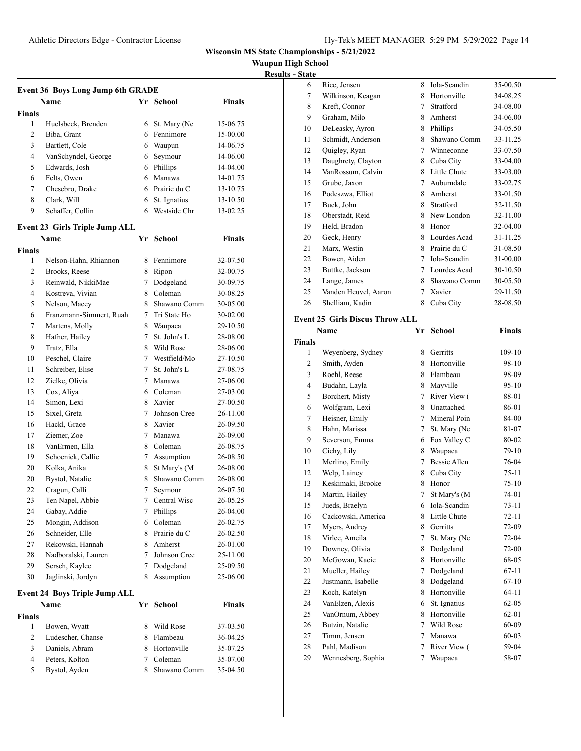**Waupun High School**

| <b>Results - State</b> |
|------------------------|
|------------------------|

|                    | <b>Event 36 Boys Long Jump 6th GRADE</b> |                   |                          |               |
|--------------------|------------------------------------------|-------------------|--------------------------|---------------|
|                    | Name                                     |                   | Yr School                | Finals        |
| <b>Finals</b>      |                                          |                   |                          |               |
| 1                  | Huelsbeck, Brenden                       |                   | 6 St. Mary (Ne           | 15-06.75      |
| 2                  | Biba, Grant                              |                   | 6 Fennimore              | 15-00.00      |
| 3                  | Bartlett, Cole                           |                   | 6 Waupun                 | 14-06.75      |
| 4                  | VanSchyndel, George                      | 6                 | Seymour                  | 14-06.00      |
| 5                  | Edwards, Josh                            |                   | 6 Phillips               | 14-04.00      |
| 6                  | Felts. Owen                              |                   | 6 Manawa                 | 14-01.75      |
| 7                  | Chesebro, Drake                          |                   | 6 Prairie du C           | 13-10.75      |
| 8                  | Clark, Will                              |                   | 6 St. Ignatius           | 13-10.50      |
| 9                  | Schaffer, Collin                         |                   | 6 Westside Chr           | 13-02.25      |
|                    |                                          |                   |                          |               |
|                    | <b>Event 23 Girls Triple Jump ALL</b>    |                   |                          |               |
|                    | Name                                     | Yr                | School                   | Finals        |
| <b>Finals</b><br>1 |                                          |                   | 8 Fennimore              |               |
|                    | Nelson-Hahn, Rhiannon                    |                   |                          | 32-07.50      |
| 2                  | Brooks, Reese                            |                   | 8 Ripon                  | 32-00.75      |
| 3<br>4             | Reinwald, NikkiMae<br>Kostreva, Vivian   |                   | 7 Dodgeland<br>8 Coleman | 30-09.75      |
|                    |                                          |                   |                          | 30-08.25      |
| 5                  | Nelson, Macey                            |                   | 8 Shawano Comm           | 30-05.00      |
| 6                  | Franzmann-Simmert, Ruah                  |                   | 7 Tri State Ho           | 30-02.00      |
| 7                  | Martens, Molly                           |                   | 8 Waupaca                | 29-10.50      |
| 8                  | Hafner, Hailey                           | 7                 | St. John's L             | 28-08.00      |
| 9                  | Tratz, Ella                              |                   | 8 Wild Rose              | 28-06.00      |
| 10                 | Peschel, Claire                          |                   | 7 Westfield/Mo           | 27-10.50      |
| 11                 | Schreiber, Elise                         | $7\phantom{.000}$ | St. John's L             | 27-08.75      |
| 12                 | Zielke, Olivia                           |                   | 7 Manawa                 | 27-06.00      |
| 13                 | Cox, Aliya                               |                   | 6 Coleman                | 27-03.00      |
| 14                 | Simon, Lexi                              |                   | 8 Xavier                 | 27-00.50      |
| 15                 | Sixel, Greta                             |                   | 7 Johnson Cree           | 26-11.00      |
| 16                 | Hackl, Grace                             |                   | 8 Xavier                 | 26-09.50      |
| 17                 | Ziemer, Zoe                              |                   | 7 Manawa                 | 26-09.00      |
| 18                 | VanErmen, Ella                           |                   | 8 Coleman                | 26-08.75      |
| 19                 | Schoenick, Callie                        |                   | 7 Assumption             | 26-08.50      |
| 20                 | Kolka, Anika                             |                   | 8 St Mary's (M           | 26-08.00      |
| 20                 | Bystol, Natalie                          | 8.                | Shawano Comm             | 26-08.00      |
| 22                 | Cragun, Calli                            | 7                 | Seymour                  | 26-07.50      |
| 23                 | Ten Napel, Abbie                         | 7                 | Central Wisc             | 26-05.25      |
| 24                 | Gabay, Addie                             | 7                 | Phillips                 | 26-04.00      |
| 25                 | Mongin, Addison                          |                   | 6 Coleman                | 26-02.75      |
| 26                 | Schneider, Elle                          |                   | 8 Prairie du C           | 26-02.50      |
| 27                 | Rekowski, Hannah                         |                   | 8 Amherst                | 26-01.00      |
| 28                 | Nadboralski, Lauren                      | 7                 | Johnson Cree             | 25-11.00      |
| 29                 | Sersch, Kaylee                           | 7                 | Dodgeland                | 25-09.50      |
| 30                 | Jaglinski, Jordyn                        | 8                 | Assumption               | 25-06.00      |
|                    | <b>Event 24 Boys Triple Jump ALL</b>     |                   |                          |               |
|                    | Name                                     | Yr                | <b>School</b>            | <b>Finals</b> |
| <b>Finals</b>      |                                          |                   |                          |               |
| 1                  | Bowen, Wyatt                             | 8                 | Wild Rose                | 37-03.50      |
| 2                  | Ludescher, Chanse                        | 8                 | Flambeau                 | 36-04.25      |
| 3                  | Daniels, Abram                           |                   | 8 Hortonville            | 35-07.25      |
| 4                  | Peters, Kolton                           |                   | 7 Coleman                | 35-07.00      |
| 5                  | Bystol, Ayden                            | 8                 | Shawano Comm             | 35-04.50      |

| 6  | Rice, Jensen         | 8 | Iola-Scandin | 35-00.50 |
|----|----------------------|---|--------------|----------|
| 7  | Wilkinson, Keagan    | 8 | Hortonville  | 34-08.25 |
| 8  | Kreft, Connor        | 7 | Stratford    | 34-08.00 |
| 9  | Graham, Milo         | 8 | Amherst      | 34-06.00 |
| 10 | DeLeasky, Ayron      | 8 | Phillips     | 34-05.50 |
| 11 | Schmidt, Anderson    | 8 | Shawano Comm | 33-11.25 |
| 12 | Quigley, Ryan        | 7 | Winneconne   | 33-07.50 |
| 13 | Daughrety, Clayton   | 8 | Cuba City    | 33-04.00 |
| 14 | VanRossum, Calvin    | 8 | Little Chute | 33-03.00 |
| 15 | Grube, Jaxon         | 7 | Auburndale   | 33-02.75 |
| 16 | Podeszwa, Elliot     | 8 | Amherst      | 33-01.50 |
| 17 | Buck, John           | 8 | Stratford    | 32-11.50 |
| 18 | Oberstadt, Reid      | 8 | New London   | 32-11.00 |
| 19 | Held, Bradon         | 8 | Honor        | 32-04.00 |
| 20 | Geck, Henry          | 8 | Lourdes Acad | 31-11.25 |
| 21 | Marx, Westin         | 8 | Prairie du C | 31-08.50 |
| 22 | Bowen, Aiden         | 7 | Iola-Scandin | 31-00.00 |
| 23 | Buttke, Jackson      | 7 | Lourdes Acad | 30-10.50 |
| 24 | Lange, James         | 8 | Shawano Comm | 30-05.50 |
| 25 | Vanden Heuvel, Aaron | 7 | Xavier       | 29-11.50 |
| 26 | Shelliam, Kadin      | 8 | Cuba City    | 28-08.50 |
|    |                      |   |              |          |

#### **Event 25 Girls Discus Throw ALL**

|                | Name               | Yr | School              | <b>Finals</b> |
|----------------|--------------------|----|---------------------|---------------|
| <b>Finals</b>  |                    |    |                     |               |
| $\mathbf{1}$   | Weyenberg, Sydney  | 8  | Gerritts            | 109-10        |
| 2              | Smith, Ayden       | 8  | Hortonville         | $98-10$       |
| 3              | Roehl, Reese       | 8  | Flambeau            | 98-09         |
| $\overline{4}$ | Budahn, Layla      | 8  | Mayville            | $95-10$       |
| 5              | Borchert, Misty    | 7  | River View (        | 88-01         |
| 6              | Wolfgram, Lexi     | 8  | Unattached          | 86-01         |
| 7              | Heisner, Emily     | 7  | Mineral Poin        | 84-00         |
| 8              | Hahn, Marissa      | 7  | St. Mary (Ne        | 81-07         |
| 9              | Severson, Emma     | 6  | Fox Valley C        | 80-02         |
| 10             | Cichy, Lily        | 8  | Waupaca             | 79-10         |
| 11             | Merlino, Emily     | 7  | <b>Bessie Allen</b> | 76-04         |
| 12             | Welp, Lainey       | 8  | Cuba City           | $75-11$       |
| 13             | Keskimaki, Brooke  | 8  | Honor               | $75-10$       |
| 14             | Martin, Hailey     | 7  | St Mary's (M        | 74-01         |
| 15             | Jueds, Braelyn     | 6  | Iola-Scandin        | 73-11         |
| 16             | Cackowski, America | 8  | Little Chute        | $72 - 11$     |
| 17             | Myers, Audrey      | 8  | Gerritts            | 72-09         |
| 18             | Virlee, Ameila     | 7  | St. Mary (Ne        | $72-04$       |
| 19             | Downey, Olivia     | 8  | Dodgeland           | 72-00         |
| 20             | McGowan, Kacie     | 8  | Hortonville         | 68-05         |
| 21             | Mueller, Hailey    | 7  | Dodgeland           | $67-11$       |
| 22             | Justmann, Isabelle | 8  | Dodgeland           | $67-10$       |
| 23             | Koch, Katelyn      | 8  | Hortonville         | $64-11$       |
| 24             | VanElzen, Alexis   | 6  | St. Ignatius        | $62 - 05$     |
| 25             | VanOrnum, Abbey    | 8  | Hortonville         | $62 - 01$     |
| 26             | Butzin, Natalie    | 7  | Wild Rose           | 60-09         |
| 27             | Timm, Jensen       | 7  | Manawa              | $60 - 03$     |
| 28             | Pahl, Madison      | 7  | River View (        | 59-04         |
| 29             | Wennesberg, Sophia | 7  | Waupaca             | 58-07         |